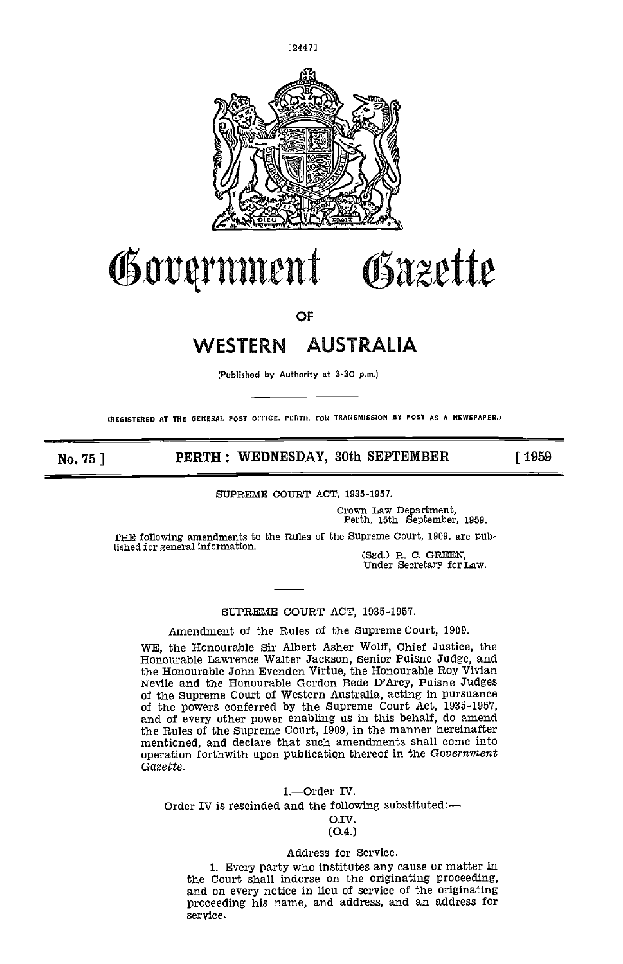

# ent Gazette

OF

# WESTERN AUSTRALIA

(Publishod by Authority at 3-30 p.m.)

(REGISTERED AT THE GENERAL POST OFFICE, PERTH. FOR TRANSMISSION DY POST AS A NEWSPAPER.)

No. 75 | PERTH: WEDNESDAY, 30th SEPTEMBER [ 1959

SUPREME COURT ACT, 1935-1951.

Crown Law Department, Perth, 15th September, 1959.

THE following amendments to the Rules of the Supreme Court, 1909, are pub-

fished for general Information. (Sgd.) R. C. GREEN, Under Secretary for Law.

SUPREME COURT ACT, 1935-1957.

Amendment of the Rules of the Supreme Court, 1909.

WE, the Honourable Sir Albert Asher Wolff, Chief Justice, the Honourable Lawrence Walter Jackson, Senior Puisne Judge, and Nevile and the Honourable Gordon Bede D'Arcy, Puisne Judges<br>of the Supreme Court of Western Australia, acting in pursuance<br>of the powers conferred by the Supreme Court Act, 1935-1957,<br>and of every other power enabling us i the Rules of the Supreme Court, 1909, in the manner hereinafter mentioned, and declare that such amendments shall come into operation forthwith upon publication thereof in the Government Gazette.

### 1.-Order IV.

Order IV is rescinded and the following substituted: $-$ 

### O.IV. (0.4.)

### Address for Service.

1. Every party who institutes any cause or matter in the Court shall indorse on the originating proceeding, and on every notice in lieu of service of the originating proceeding his name, and address, and an address for service,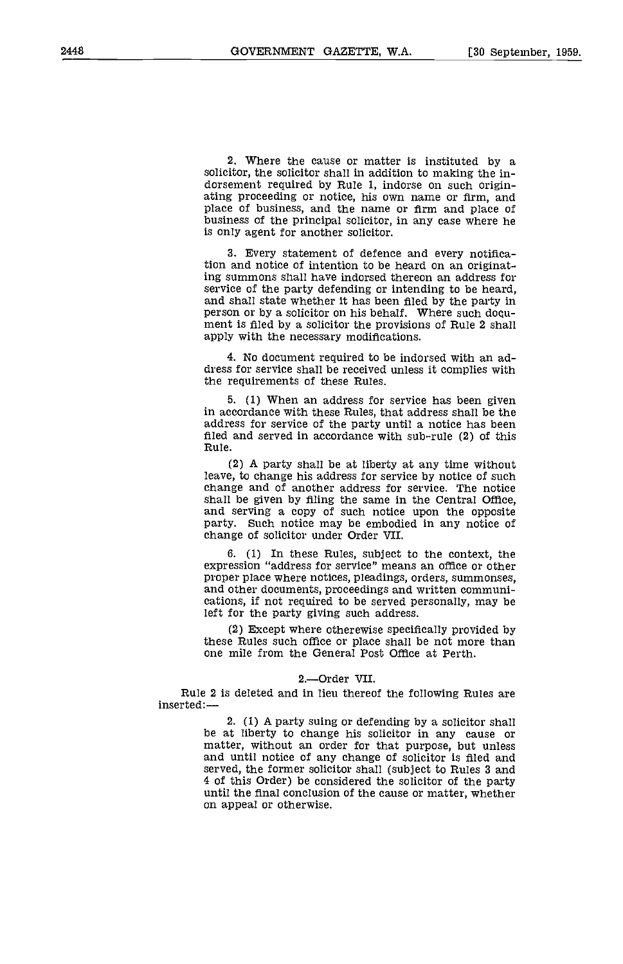2. Where the cause or matter is instituted by a solicitor, the solicitor shall in addition to making the indorsement required by Rule 1, indorse on such originating proceeding or notice, his own name or firm, and place of business, and the name or firm and place of business of the principal solicitor, in any case where he is only agent for another solicitor.

Every statement of defence and every notification and notice of intention to be heard on an originating summons shall have indorsed thereon an address for service of the party defending or intending to be heard, and shall state whether it has been filed by the party in person or by a solicitor on his behalf. Where such d ment is filed by a solicitor the provisions of Rule 2 shall apply with the necessary modifications.

4. No document required to be indorsed with an address for service shall be received unless it complies with the requirements of these Rules.

(1) When an address for service has been given in accordance with these Rules, that address shall be the address for service of the party until a notice has been filed and served in accordance with sub-rule (2) of this Rule.

(2) A party shall be at liberty at any time without leave, to change his address for service by notice of such change and of another address for service. The notice shall be given by filing the same in the Central Office, and serving a copy of such notice upon the opposite party. Such notice may be embodied in any notice of change of solicitor under Order VII.

(1) In these Rules, subject to the context, the expression "address for service" means an office or other<br>proper place where notices, pleadings, orders, summonses,<br>and other documents, proceedings and written communi-<br>cations, if not required to be served personally, ma left for the party giving such address.

(2) Except where otherewise specifically provided by these Rules such office or place shall be not more than one mile from the General Post Office at Perth.

### 2.-Order VII.

Rule 2 is deleted and in lieu thereof the following Rules are inserted:-

> 2. (1) A party suing or defending by a solicitor shall be at liberty to change his solicitor in any cause or matter, without an order for that purpose, but unless and until notice of any change of solicitor is filed and served, the former solicitor shall (subject to Rules 3 and 4 of this Order) be considered the solicitor of the party until the final conclusion of the cause or matter, whether on appeal or otherwise.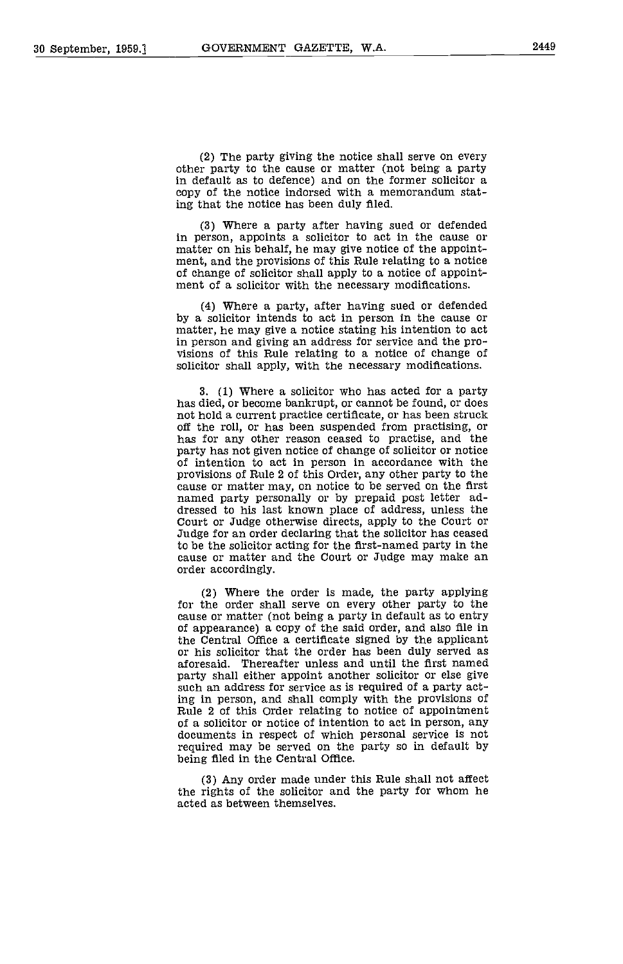The party giving the notice shall serve on every other party to the cause or matter (not being a party in default as to defence) and on the former solicitor a copy of the notice indorsed with a memorandum stating that the notice has been duly filed.

Where a party after having sued or defended in person, appoints a solicitor to act in the cause or matter on his behalf, he may give notice of the appointment, and the provisions of this Rule relating to a notice of change of solicitor shall apply to a notice of app

Where a party, after having sued or defended by a solicitor intends to act in person in the cause or matter, he may give a notice stating his intention to act in person and giving an address for service and the pro- visions of this Rule relating to a notice of change of solicitor shall apply, with the necessary modifications.

3. (1) Where a solicitor who has acted for a party not hold a current practice certificate, or has been struck<br>off the roll, or has been suspended from practising, or<br>has for any other reason ceased to practise, and the<br>party has not given notice of change of solicitor or of intention to act in person in accordance with the<br>provisions of Rule 2 of this Order, any other party to the<br>cause or matter may, on notice to be served on the first<br>named party personally or by prepaid post letter ad-<br> to be the solicitor acting for the first-named party in the cause or matter and the Court or Judge may make an order accordingly.

Where the order is made, the party applying for the order shall serve on every other party to the cause or matter (not being a party in default as to entry of appearance) a copy of the said order, and also file in or his solicitor that the order has been duly served as aforesaid. Thereafter unless and until the first named party shall either appoint another solicitor or else give such an address for service as is required of a party acting in person, and shall comply with the provisions of<br>Rule 2 of this Order relating to notice of appointment<br>of a solicitor or notice of intention to act in person, any<br>documents in respect of which personal service is no being filed in the Central Office.

Any order made under this Rule shall not affect the rights of the solicitor and the party for whom he acted as between themselves.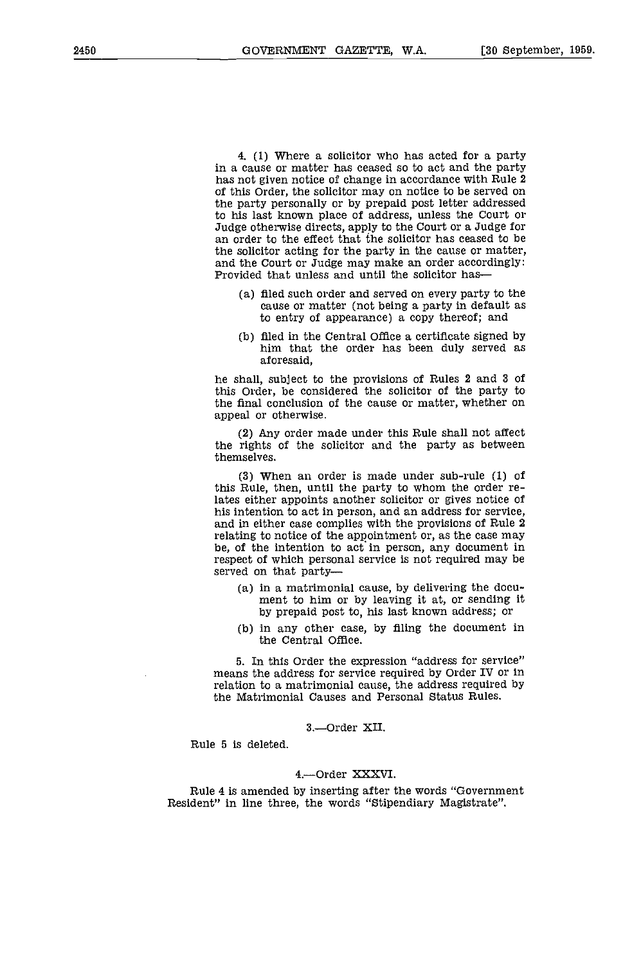4, (1) Where a solicitor who has acted for a party in a cause or matter has ceased so to act and the party has not given notice of change in accordance with Rule 2 of this Order, the solicitor may on notice to be served on the party personally or by prepaid post letter addressed<br>to his last known place of address, unless the Court or Judge otherwise directs, apply to the Court or a Judge for<br>an order to the effect that the solicitor has ceased to be<br>the solicitor acting for the party in the cause or matter, and the Court or Judge may make an order accordingly: Provided that unless and until the solicitor has—

- filed such order and served on every party to the cause or matter (not being a party in default as to entry of appearance) a copy thereof; and
- filed in the Central Office a certificate signed by him that the order has been duly served as aforesaid,

he shall, subject to the provisions of Rules 2 and 3 of this Order, be considered the solicitor of the party to the final conclusion of the cause or matter, whether on appeal or otherwise.

Any order made under this Rule shall not affect the rights of the solicitor and the party as between themselves.

When an order is made under sub-rule (1) of this Rule, then, until the party to whom the order relates either appoints another solicitor or gives notice of his intention to act in person, and an address for service, and in either case complies with the provisions of Rule 2 relating to notice of the appointment or, as the case may be, of the intention to act in person, any document in respect of which personal service is not required may be served on that party

- in a matrimonial cause, by delivering the docu- ment to him or by leaving it at, or sending it by prepaid post to, his last known address; or
- (b) in any other case, by filing the document in the Central Office.

5. Tn this Order the expression "address for service" means the address for service required by Order IV or in relation to a matrimonial cause, the address required by the Matrimonial Causes and Personal Status Rules.

3.-Order XII.

Rule 5 is deleted.

### 4.-Order XXXVI.

Rule 4 is amended by inserting after the words "Government Resident" in line three, the words "Stipendiary Magistrate".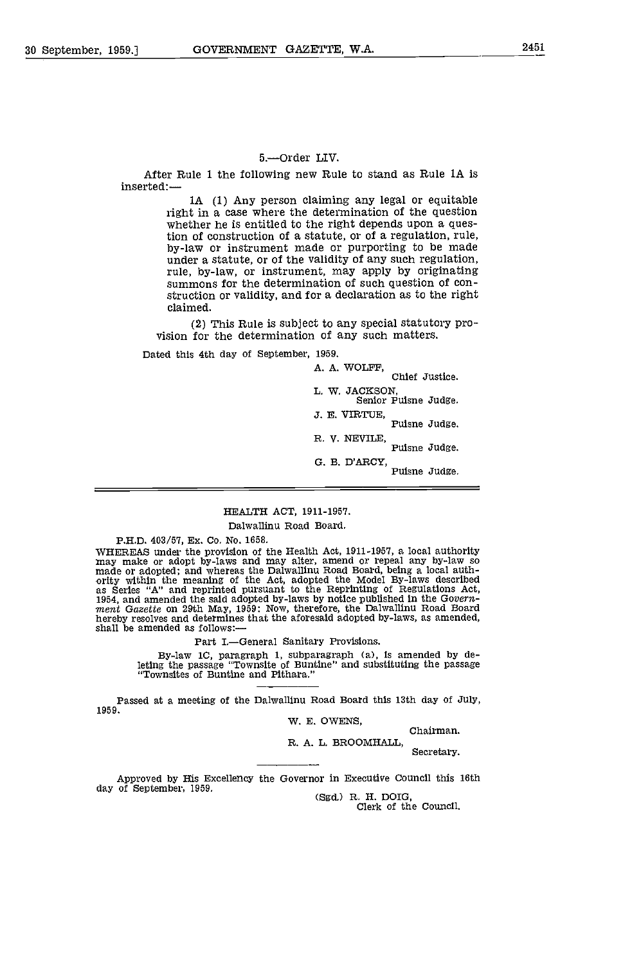### 5.-Order LIV.

After Rule 1 the following new Rule to stand as Rule 1A is inserted:-

> 1A (1) Any person claiming any legal or equitable right in a case where the determination of the question whether he is entitled to the right depends upon a question of construction of a statute, or of a regulation, rule, by-law or instrument made or purporting to be made<br>under a statute, or of the validity of any such regulation,<br>rule, by-law, or instrument, may apply by originating<br>summons for the determination of such question of construction or validity, and for a declaration as to the right claimed.

(2) This Rule is subject to any special statutory pro- vision for the determination of any such matters.

Dated this 4th day of September, 1959.

A. A. WOLFF, Chief Justice.

L. W. JACKSON, Senior Puisne Judge

J. E. VIRTUE, Puisne Judge.

R. V. NEVILE,<br>Puisne Judge.

G. B. D'ARCY, Puisne Judge.

### HEALTH ACT, 1911-1957.

### Dalwallinu Road Board

P.H.D. 403/57, Ex. Co. No. 1658.<br>WHEREAS under the provision of the Health Act, 1911-1957, a local authority WHEREAS under the provision of the Health Act, 1911-1957, a local authority<br>may make or adopt by-laws and may alter, amend or repeal any by-law so<br>made or adopted; and whereas the Dalwallinu Road Board, being a local authas Series "A" and reprinted pursuant to the Reprinting of Regulations Act, 1954, and amended the said adopted by-laws by notice published in the Govern-1954, and amended the said adopted by-laws by notice published in the Government Gazette on 29th May, 1959: Now, therefore, the Dalwallinu Road Board hereby resolves and determines that the aforesaid adopted by-laws, as amended, shall be amended as follows:

Part I.-General Sanitary Provisions.

By-law 1C, paragraph 1, subparagraph (a), is amended by deleting the passage "Townsite of Buntine" and substituting the passage "Townsites of Buntine and Pithara."

Passed at a meeting of the Dalwallinu Road Board this 13th day of July, 1959.

W. E. OWENS, Chairman.

R. A. L. BROOMHALL, Secretary.

Approved by His Excellency the Governor in Executive Council this 16th day of September, 1959.<br>
(Sgd.) R. H. DOIG,<br>
Clerk of the Council.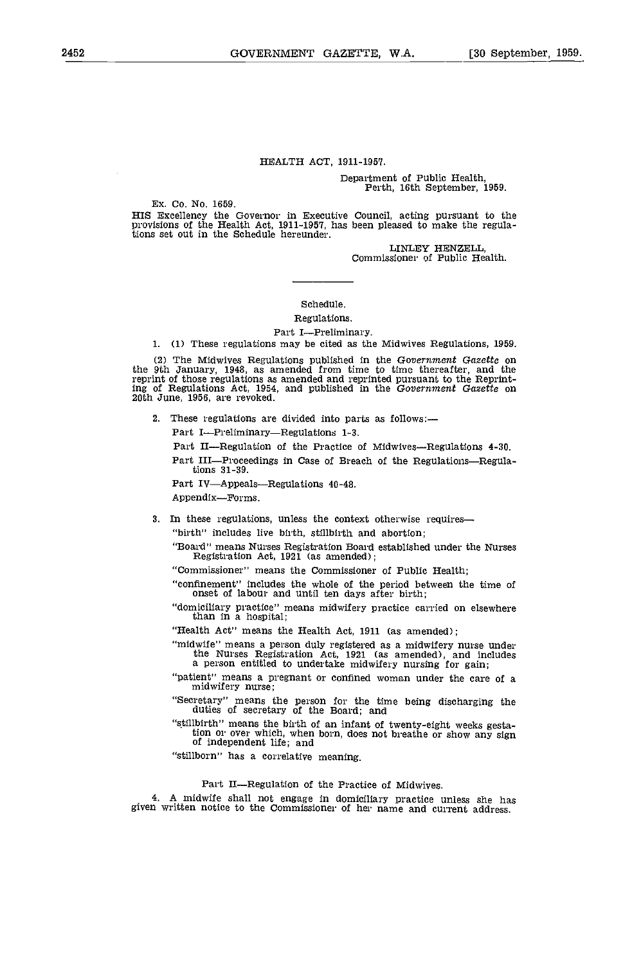### HEALTH ACT, 1911-195'?.

# Department of Public Health, Perth, 16th September, 1959.

Ex. Co. No. 1659.

HIS Excellency the Governor in Executive Council, acting pursuant to the provisions of the Health Act, 1911-1957, has been pleased to make the regula-tions set out in the Schedule hereunder.

LINLEY HENZELL Commissioner of Public Health.

### Schedule.

Regulations.

### Part I-Preliminary.

1. (1) These regulations may be cited as the Midwives Regulations, 1959.

(2) The Midwives Regulations published in the Government Gazette on the 9th January, 1948, as amended from time to time thereafter, and the reprint of those regulations as amended and reprinted pursuant to the Reprinting of Regulations Act, 1954, and published in the Government Gazette on 20th June, 1956, are revoked.

2, These regulations are divided into parts as follows:

Part I-Preliminary-Regulations 1-3.

Part II-Regulation of the Practice of Midwives-Regulations 4-30.

Part III-Proceedings in Case of Breach of the Regulations-Regulations 31-39.

Part IV—Appeals—Regulations 40-48.

Appendix-Forms.

3. In these regulations, unless the context otherwise requires-

"birth" includes live birth, stillbirth and abortion;

"Board" means Nurses Registration Board established under the Nurses Registration Act, 1921 (as amended);

"Commissioner" means the Commissioner of Public Health;

"confinement" includes the whole of the period between the time of onset of labour and until ten days after birth;

"domiciliary practice" means midwifery practice carried on elsewhere than in a hospital;

"Health Act" means the Health Act, 1911 (as amended);

"midwife" means a person duly registered as a midwifery nurse under the Nurses Registration Act, 1921 (as amended), and includes a person entitled to undertake midwifery nursing for gain;

"patient" means a pregnant or confined woman under the care of a midwifery nurse;

"Secretary" means the person for the time being discharging the duties of secretary of the Board; and

"stillbirth" means the birth of an infant of twenty-eight weeks gestation or over which, when born, does not breathe or show any sign of independent life; and

"stillborn" has a correlative meaning.

Part II—Regulation of the Practice of Midwives.<br>midwife shall not engage in domiciliary practice unless she has A midwife shall not engage in domiciliary practice unless she has given written notice to the Commissioner of her name and current address.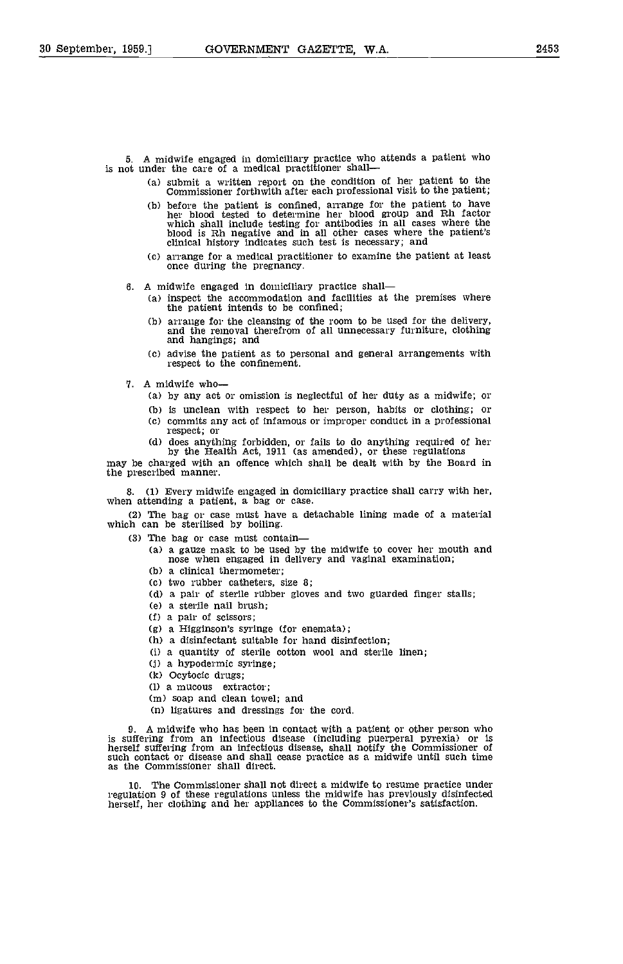5. A midwife engaged in domiciliary practice who attends a patient who is not under the care of a medical practitioner shall

- (a) submit a written report on the condition of her patient to the Commissioner forthwith after each professional visit to the patient;
- (b) before the patient is confined, arrange for the patient to have<br>her blood tested to determine her blood group and Rh factor<br>which shall include testing for antibodies in all cases where the<br>blood is Rh negative and in
- arrange for a medical practitioner to examine the patient at least once during the pregnancy.
- 6. A midwife engaged in domiciliary practice shall
	- (a) inspect the accommodation and facilities at the premises where the patient intends to be confined;
	- arrange for the cleansing of the room to be used for the delivery, and the removal therefrom of all unnecessary furniture, clothing and hangings; and
	- (c) advise the patient as to personal and general arrangements with respect to the confinement.
- 7. A midwife who
	- by any act or omission is neglectful of her duty as a midwife; or
	- is unclean with respect to her person, habits or clothing; or
	- $(c)$  commits any act of infamous or improper conduct in a professional respect; or
- Cd) does anything forbidden, or fails to do anything required of her by the Health Act, 1911 (as amended), or these regulations may be charged with an offence which shall be dealt with by the Board in

the prescribed manner.

8. (1) Every midwife engaged in domiciliary practice shall carry with her, when attending a patient, a bag or case,

The bag or case must have a detachable lining made of a material which can be sterilised by boiling.

- The bag or case must contain
	- (a) a gauze mask to be used by the midwife to cover her mouth and nose when engaged in delivery and vaginal examination;
	- (b) a clinical thermometer;
	- Cc) two rubber catheters, size 8;
	- Cd) a pair of sterile rubber gloves and two guarded finger stalls;
	- Ce) a sterile nail brush;
	- a pair of scissors;
	- a Higginson's syringe (for enemata);
	- (b) a disinfectant suitable for hand disinfection;
	- (1) a quantity of sterile cotton wool and sterile linen;
	- a hypodermic syringe;
	- (k) Ocytocic drugs;
	- (I) a mucous extractor;
	- (m) soap and clean towel; and
	- (n) ligatures and dressings for the cord.

9. A midwife who has been in contact with a patient or other person who is suffering from an infectious disease (including puerperal pyrexia) or is<br>herself suffering from an infectious disease, shall notify the Commissioner of<br>such contact or disease and shall cease practice as a midwife until as the Commissioner shall direct.

10. The Commissioner shall not direct a midwife to resume practice under regulation 9 of these regulations unless the midwife has previously disinfected herself, her clothing and her appliances to the Commissioner's satisf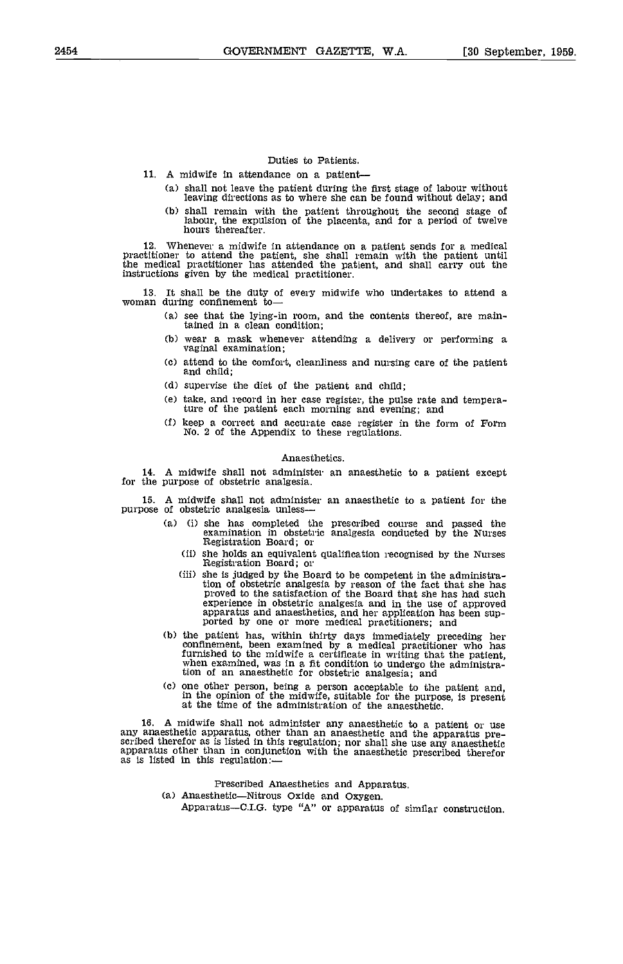### Duties to Patients.

11. A midwife In attendance on a patient

- shall not leave the patient during the first stage of labour without leaving directions as to where she can be found without delay; and
- shall remain with the patient throughout the second stage of labour, the expulsion of the placenta, and for a period of twelve hours thereafter.

12. Whenever a midwife in attendance on a patient sends for a medical practitioner to attend the patient, she shall remain with the patient until the medical practitioner has attended the patient, and shall carry out the instructions given by the medical practitioner.

13. It shall be the duty of every midwife who undertakes to attend a woman during confinement to

- Ca) see that the lying-in room, and the contents thereof, are maintained in a clean condition;
- (b) wear a mask whenever attending a delivery or performing a vaginal examination;
- (c) attend to the comfort, cleanliness and nursing care of the patient and child;
- (d) supervise the diet of the patient and child;
- Ce) take, and record in her case register, the pulse rate and temperature of the patient each morning and evening; and
- (f) keep a correct and accurate case register in the form of Form No. 2 of the Appendix to these regulations.

### Anaesthetics.

14. A midwife shall not administer an anaesthetic to a patient except for the purpose of obstetric analgesia.

15. A midwife shall not administer an anaesthetic to a patient for the purpose of obstetric analgesia unless

- Ci) she has completed the prescribed course and passed the examination in obstetric analgesia conducted by the Nurses Registration Board; or
- Registration Board; or<br>
(ii) she holds an equivalent qualification recognised by the Nurses<br>
Registration Board; or
- (iii) she is judged by the Board to be competent in the administration of obstetric analgesia by reason of the fact that she has proved to the satisfaction of the Board that she has had such experience in obstetric analgesia and in the use of approved apparatus and anaesthetics, and her application has been sup- ported by one or more medical practitioners; and
- the patient has, within thirty days immediately preceding her confinement, been examined by a medical practitioner who has furnished to the midwife a certificate in writing that the patient, when examined, was in a fit condition to undergo the administra-tion of an anaesthetic for obstetric analgesia; and
- Cc) one other person, being a person acceptable to the patient and, in the opinion of the midwife, suitable for the purpose, Is present at the time of the administration of the anaesthetic.

16. A midwife shall not administer any anaesthetic to a patient or use<br>any anaesthetic apparatus, other than an anaesthetic and the apparatus pre-<br>scribed therefor as is listed in this regulation; nor shall she use any an

Prescribed Anaesthetics and Apparatus.  $(a)$  Anaesthetic-Nitrous Oxide and Oxygen. Apparatus-C.I.G. type "A" or apparatus of similar construction.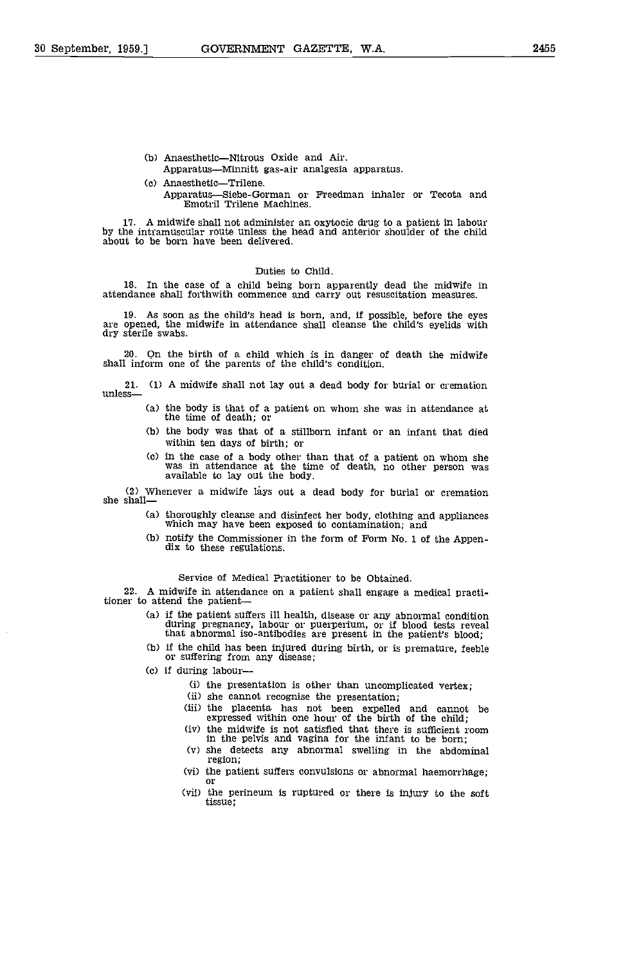- (b) Anaesthetic-Nitrous Oxide and Air.
	- Apparatus-Minnitt gas-air analgesia apparatus.
- (c) Anaesthetic-Trilene. Apparatus—Siebe-Gorman or Freedman inhaler or Tecota and Emotril Trilene Machines.

17. A midwife shall not administer an oxytocic drug to a patient in labour by the intramuscular route unless the head and anterior shoulder of the child about to be born have been delivered.

### Duties to Child.

18. In the case of a child being born apparently dead the midwife in attendance shall forthwith commence and carry out resuscitation measures.

19. As soon as the child's head is born, and if possible, before the eyes are opened, the midwife in attendance shall cleanse the child's eyelids with dry sterile swabs.

20. Qn the birth of a child which is in danger of death the midwife shall inform one of the parents of the child's condition.

21. (1) A midwife shall not lay out a dead body for burial or cremation unless

- Ca) the body is that of a patient on whom she was in attendance at the time of death; or
- (b) the body was that of a stillborn infant or an infant that died within ten days of birth; or
- Cc) in the case of a body other than that of a patient on whom she was in attendance at the time of death, no other person was available to lay out the body.

(2) Whenever a midwife lays out a dead body for burial or cremation she shall

- thoroughly cleanse and disinfect her body, clothing and appliances which may have been exposed to contamination; and
- notify the Commissioner in the form of Form No. I of the Appen- dix to these regulations.

Service of Medical Practitioner to be Obtained.

22. A midwife in attendance on a patient shall engage a medical practitioner to attend the patient—

- if the patient suffers ill health, disease or any abnormal condition during pregnancy, labour or puerperium, or if blood tests reveal that abnormal iso-antibodies are present in the patient's blood;
- if the child has been injured during birth, or is premature, feeble or suffering from any disease;
- Cc) if during labour-
	- (i) the presentation is other than uncomplicated vertex;
	-
	- she cannot recognise the presentation;<br>the placenta has not been expelled and cannot be<br>expressed within one hour of the birth of the child;
	- the midwife is not satisfied that there is sufficient room in the pelvis and vagina for the infant to be born;
	- $(v)$  she detects any abnormal swelling in the abdominal region;
	- the patient suffers convulsions or abnormal haemorrhage;<br>or<br>(vii) the perineum is ruptured or there is injury to the soft
	- tissue;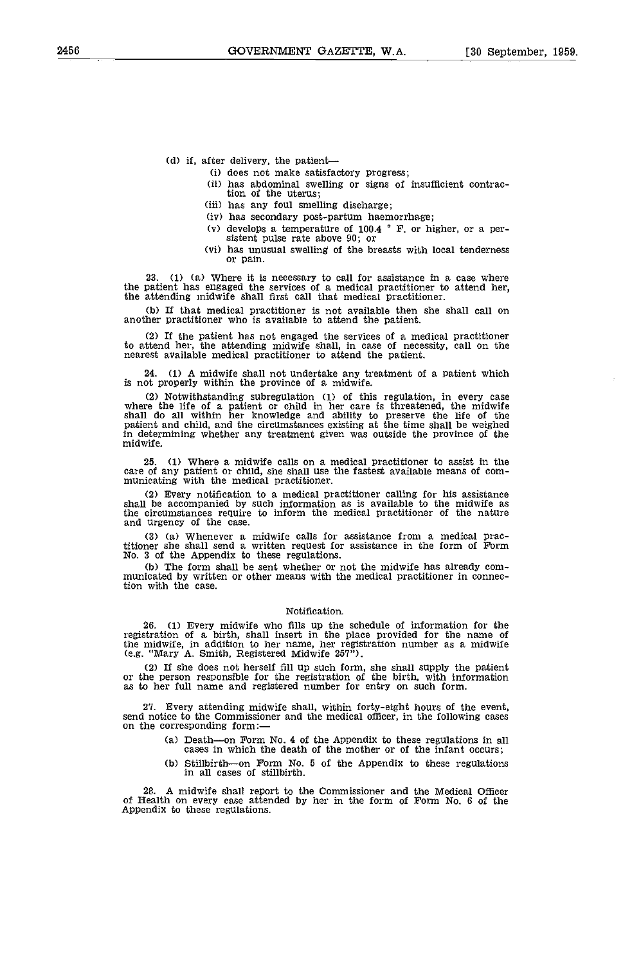$(d)$  if, after delivery, the patient--

- Ci) does not make satisfactory progress;
- has abdominal swelling or signs of insufficient contrac- tion of the uterus;
- (iii) has any foul smelling discharge;
- (iv) has secondary post-partum haemorrhage;
- (v) develops a temperature of 100.4  $\degree$  F. or higher, or a per-sistent pulse rate above 90; or
- has unusual swelling of the breasts with local tenderness or pain.

23. (1) (a) Where it is necessary to call for assistance in a case where the patient has engaged the services of a medical practitioner to attend her, the attending midwife shall first call that medical practitioner.

(b) If that medical practitioner is not available then she shall call on another practitioner who is available to attend the patient.

(2) If the patient has not engaged the services of a medical practitioner to attend her, the attending midwife shall, in case of necessity, call on the nearest available medical practitioner to attend the patient.

24. (1) A midwife shall not undertake any treatment of a patient which is not properly within the province of a midwife.

(2) Notwithstanding subregulation (1) of this regulation, in every case where the life of a patient or child in her care is threatened, the midwife shall do all within her knowledge and ability to preserve the life of the patient and child, and the circumstances existing at the time shall be weighed in determining whether any treatment given was outside the province of the midwife.

25. (1) Where a midwife calls on a medical practitioner to assist in the care of any patient or child, she shall use the fastest available means of com- municating with the medical practitioner.

Every notification to a medical practitioner calling for his assistance shall be accompanied by such information as is available to the midwife as the circumstances require to inform the medical practitioner of the nature and urgency of the ease.

(a) Whenever a midwife calls for assistance from a medical practitioner she shall send a written request for assistance in the form of Form No. 3 of the Appendix to these regulations.

(b) The form shall be sent whether or not the midwife has already com- municated by written or other means with the medical practitioner in connection with the case.

### Notification.

26. (1) Every midwife who fills up the schedule of information for the registration of a birth, shall insert in the place provided for the name of the midwife, in addition to her name, her registration number as a midwife (e.g. "Mary A. Smith, Registered Midwife 257").

(2) If she does not herself fill up such form, she shall supply the patient or the person responsible for the registration of the birth, with information as to her full name and registered number for entry on such form.

27. Every attending midwife shall, within forty-eight hours of the event, send notice to the Commissioner and the medical officer, in the following cases on the corresponding form:

- (a) Death—on Form No. 4 of the Appendix to these regulations in all cases in which the death of the mother or of the infant occurs;
- $(b)$  Stillbirth-on Form No. 5 of the Appendix to these regulations in all cases of stillbirth.

28. A midwife shall report to the Commissioner and the Medical Officer of Health on every case attended by her in the form of Form No. 6 of the Appendix to these regulations.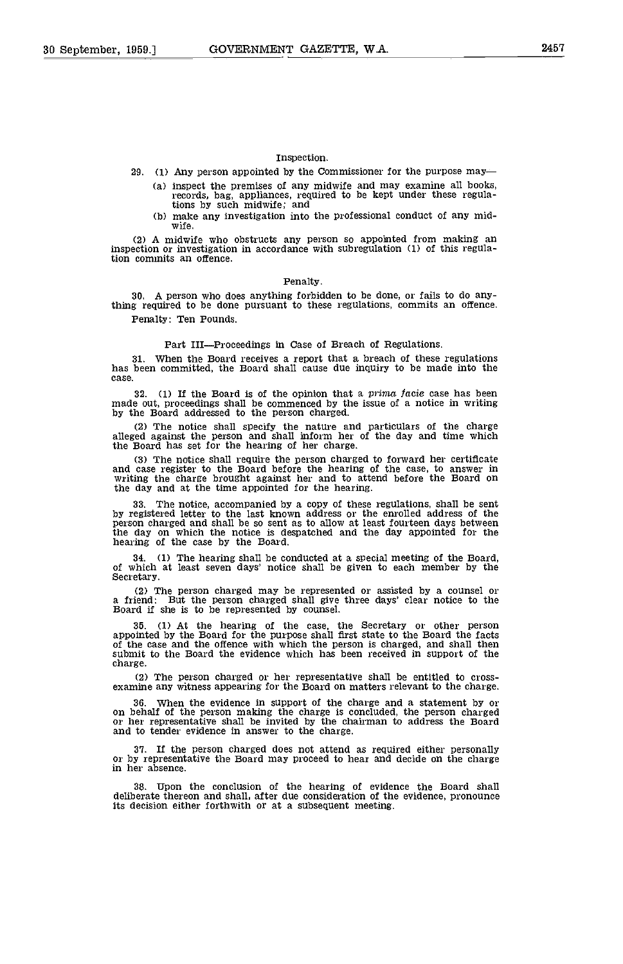### Inspection.

29. (1) Any person appointed by the Commissioner for the purpose may

- (a) inspect the premises of any midwife and may examine all books, records, bag, appliances, required to be kept under these regula-<br>tions by such midwife; and
- (b) make any investigation into the professional conduct of any mid-<br>wife.

(2) A midwife who obstructs any person so appointed from making an inspection or investigation in accordance with subregulation (1) of this regulation commits an offence.

### Penalty.

30. A person who does anything forbidden to be done, or fails to do anything required to be done pursuant to these regulations, commits an offence. Penalty: Ten Pounds.

### Part III-Proceedings in Case of Breach of Regulations.

31. when the Board receives a report that a breach of these regulations has been committed, the Board shall cause due inquiry to be made into the case.

32. (1) If the Board is of the opinion that a prima facie case has been made out, proceedings shall be commenced by the issue of a notice in writing by the Board addressed to the person charged.

The notice shall specify the nature and particulars of the charge alleged against the person and shall inform her of the day and time which the Board has set for the hearing of her charge.

The notice shall require the person charged to forward her certificate and case register to the Board before the hearing of the case to answer in writing the charge brought against her and to attend before the Board on the day and at the time appointed for the hearing.

33. The notice, accompanied by a copy of these regulations, shall be sent by registered letter to the last known address or the enrolled address of the person charged and shall be so sent as to allow at least fourteen days the day on which the notice is despatched and the day appointed for the hearing of the case by the Board.

34. (1) The hearing shall be conducted at a special meeting of the Board, of which at least seven days' notice shall be given to each member by the Secretary.

(2) The person charged may be represented or assisted by a counsel or a friend: But the person charged shall give three days' clear notice to the Board if she is to be represented by counsel.

35. (1) At the hearing of the case, the Secretary or other person appointed by the Board for the purpose shall first state to the Board the facts of the case and the offence with which the person is charged, and shall then submit to the Board the evidence which has been received in support of the charge.

(2) The person charged or her representative shall be entitled to cross-examine any witness appearing for the Board on matters relevant to the charge.

36. When the evidence in support of the charge and a statement by or on behalf of the person making the charge is concluded, the person charged or her representative shall be invited by the chairman to address the Board and to tender evidence in answer to the charge.

37, If the person charged does not attend as required either personally or by representative the Board may proceed to hear and decide on the charge in her absence.

38. Upon the conclusion of the hearing of evidence the Board shall deliberate thereon and shall, after due consideration of the evidence, pronounce its decision either forthwith or at a subsequent meeting.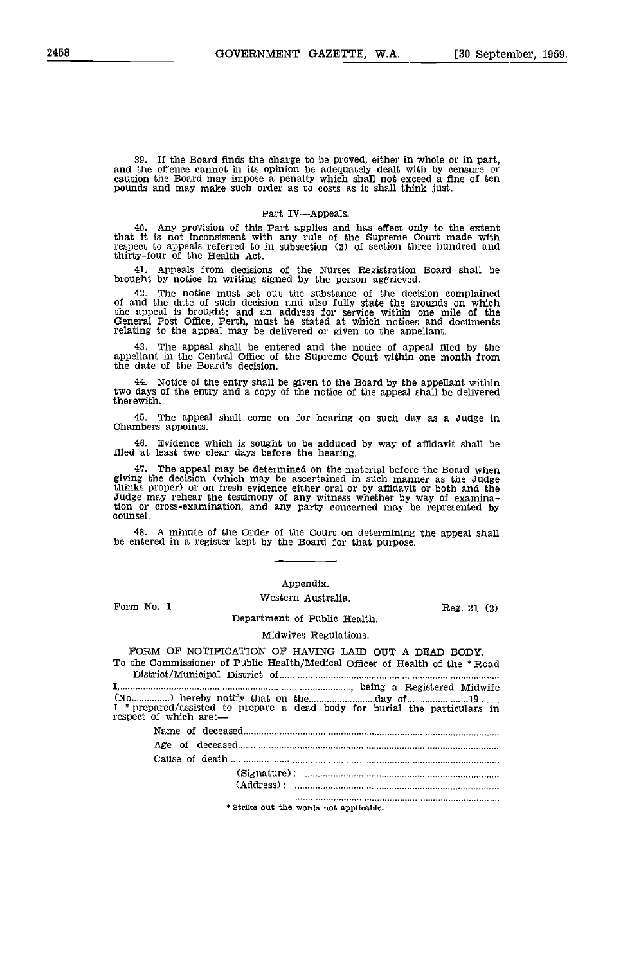39. If the Board finds the charge to be proved, either in whole or in part, and the offence cannot in its opinion be adequately dealt with by censure or caution the Board may impose a penalty which shall not exceed a fine

### Part IV-Appeals.

Any provision of this Part applies and has effect only to the extent that It is not inconsistent with any rule of the Supreme Court made with respect to appeals referred to in subsection (2) of section three hundred and thirty-four of the Health Act.

Appeals from decisions of the Nurses Registration Board shall be brought by notice In writing signed by the person aggrieved.

42. The notice must set out the substance of the decision complained<br>of and the date of such decision and also fully state the grounds on which<br>the appeal is brought; and an address for service within one mile of the<br>Gener

The appeal shall be entered and the notice of appeal filed by the appellant in the Central Office of the Supreme Court within one month from the date of the Board's decision.

Notice of the entry shall be given to the Board by the appellant within two days of the entry and a copy of the notice of the appeal shall be delivered therewith.

The appeal shall come on for hearing on such day as a Judge in Chambers appoints.

Evidence which is sought to be adduced by way of affidavit shall be filed at least two clear days before the hearing.

The appeal may be determined on the material before the Board when giving the decision (which may be ascertained in such manner as the Judge thinks proper) or on fresh evidence either oral or by affidavit or both and the Judge may rehear the testimony of any witness whether by way of examination or cross-examination, and any party concerned may be represented by counsel.

A minute of the Order of the Court on determining the appeal shall be entered in a register kept by the Board for that purpose.

### Appendix.

Western Australia Form No. I Reg. 21 (2)

Department of Public Health.

### Midwives Regulations.

FORM OF NOTIFICATION OF HAVING LAID OUT A DEAD BODY. To the Commissioner of Public Health/Medical Officer of Health of the \* Road District/Municipal District of I, , being a Registered Midwife (No  $19$   $\ldots$ ) hereby notify that on the  $\ldots$   $\ldots$   $\ldots$   $\ldots$   $\ldots$   $\ldots$   $\ldots$   $\ldots$   $\ldots$   $\ldots$   $\ldots$   $\ldots$   $\ldots$   $\ldots$   $\ldots$   $\ldots$   $\ldots$   $\ldots$   $\ldots$   $\ldots$   $\ldots$   $\ldots$   $\ldots$   $\ldots$   $\ldots$   $\ldots$   $\ldots$   $\ldots$   $\ldots$   $\ldots$ Name of deceased Age of deceased Cause of death (Signature): (Address): \* Strike out the words not applicable.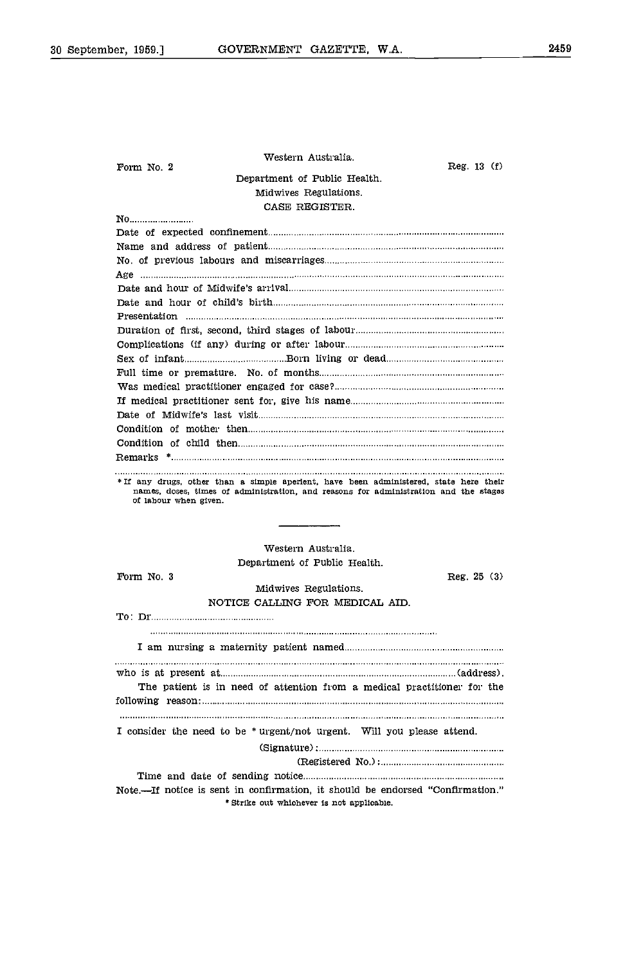| Western Australia.                                                                                            |              |
|---------------------------------------------------------------------------------------------------------------|--------------|
| Form No. 2                                                                                                    | Reg. $13(f)$ |
| Department of Public Health.                                                                                  |              |
| Midwives Regulations.                                                                                         |              |
| CASE REGISTER.                                                                                                |              |
| No                                                                                                            |              |
|                                                                                                               |              |
|                                                                                                               |              |
|                                                                                                               |              |
|                                                                                                               |              |
|                                                                                                               |              |
|                                                                                                               |              |
|                                                                                                               |              |
|                                                                                                               |              |
|                                                                                                               |              |
|                                                                                                               |              |
|                                                                                                               |              |
|                                                                                                               |              |
|                                                                                                               |              |
|                                                                                                               |              |
|                                                                                                               |              |
|                                                                                                               |              |
|                                                                                                               |              |
| names, doses, times of administration, and reasons for administration and the stages<br>of labour when given. |              |
| Western Australia.                                                                                            |              |
|                                                                                                               |              |
| Department of Public Health.<br>Form No. 3                                                                    |              |
| Midwives Regulations.                                                                                         | Reg. 25(3)   |
| NOTICE CALLING FOR MEDICAL AID.                                                                               |              |
|                                                                                                               |              |
|                                                                                                               |              |
|                                                                                                               |              |
| who is at present at material contains and all entries and present at material contains and address.          |              |
| The patient is in need of attention from a medical practitioner for the                                       |              |
|                                                                                                               |              |
| I consider the need to be * urgent/not urgent. Will you please attend.                                        |              |
|                                                                                                               |              |
|                                                                                                               |              |
|                                                                                                               |              |
|                                                                                                               |              |
| Note.—If notice is sent in confirmation, it should be endorsed "Confirmation."                                |              |
| * Strike out whichever is not applicable.                                                                     |              |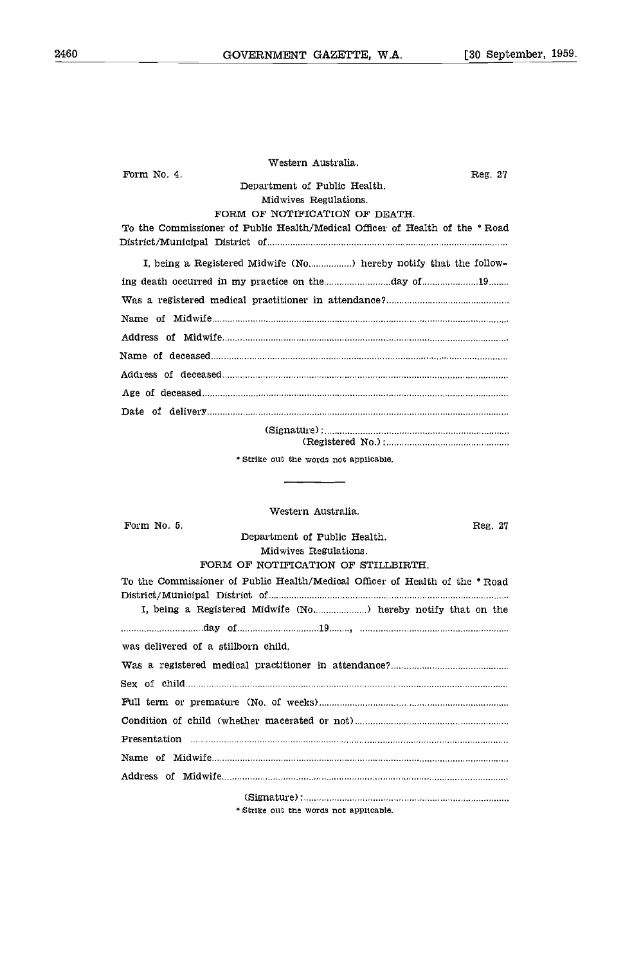| Western Australia.                                                           |
|------------------------------------------------------------------------------|
| Form No. 4.<br>Reg. 27                                                       |
| Department of Public Health.                                                 |
| Midwives Regulations.                                                        |
| FORM OF NOTIFICATION OF DEATH.                                               |
| To the Commissioner of Public Health/Medical Officer of Health of the * Road |
| I, being a Registered Midwife (No) hereby notify that the follow-            |
| ing death occurred in my practice on the day of 19                           |
|                                                                              |
|                                                                              |
|                                                                              |
|                                                                              |
|                                                                              |
|                                                                              |
|                                                                              |
|                                                                              |
| (Registered No.):                                                            |

Strike out the words not applicable.

### Western Australia.

| Form No. 5.                                                                 | Reg. 27 |
|-----------------------------------------------------------------------------|---------|
| Department of Public Health.                                                |         |
| Midwives Regulations.                                                       |         |
| FORM OF NOTIFICATION OF STILLBIRTH.                                         |         |
| To the Commissioner of Public Health/Medical Officer of Health of the *Road |         |
| I, being a Registered Midwife (No) hereby notify that on the                |         |
|                                                                             |         |
| was delivered of a stillborn child.                                         |         |
|                                                                             |         |
|                                                                             |         |
|                                                                             |         |
|                                                                             |         |
|                                                                             |         |
|                                                                             |         |
|                                                                             |         |
|                                                                             |         |
| * Strike out the words not applicable.                                      |         |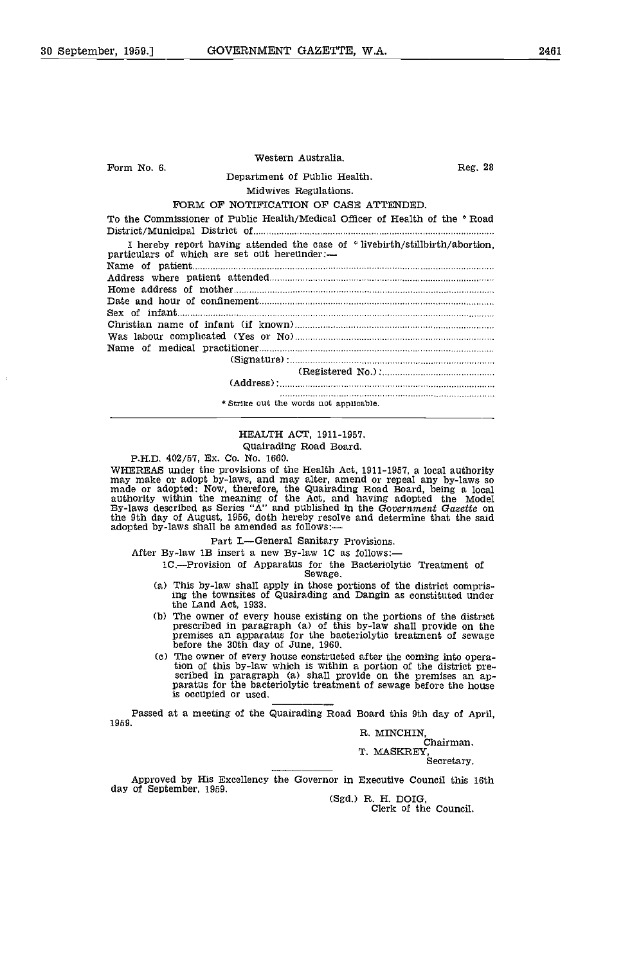| Form No. 6. | Western Australia.                                                                                                          | Reg. 28           |
|-------------|-----------------------------------------------------------------------------------------------------------------------------|-------------------|
|             | Department of Public Health.                                                                                                |                   |
|             | Midwives Regulations.                                                                                                       |                   |
|             | FORM OF NOTIFICATION OF CASE ATTENDED.                                                                                      |                   |
|             | To the Commissioner of Public Health/Medical Officer of Health of the * Road                                                |                   |
|             | I hereby report having attended the case of *livebirth/stillbirth/abortion.<br>particulars of which are set out hereunder:- |                   |
|             |                                                                                                                             |                   |
|             |                                                                                                                             |                   |
|             |                                                                                                                             |                   |
|             |                                                                                                                             |                   |
|             |                                                                                                                             |                   |
|             |                                                                                                                             |                   |
|             |                                                                                                                             |                   |
|             |                                                                                                                             |                   |
|             |                                                                                                                             |                   |
|             |                                                                                                                             | (Resistered No.): |
|             | (Address):                                                                                                                  |                   |
|             | * Strike out the words not applicable.                                                                                      |                   |

### HEALTH ACT, 1911-1957.

Quairading Road Board.

PH.D. 402/57, Ex. Co. No. 1660.

WHEREAS under the provisions of the Health Act, 1911-1957, a local authority<br>may make or adopt by-laws, and may alter, amend or repeal any by-laws so<br>made or adopted: Now, therefore, the Quairading Road Board, being a loca the 9th day of August, 1956, doth hereby resolve and determine that the said adopted by-laws shall be amended as follows:

Part I.-General Sanitary Provisions.

After By-law 1B insert a new By-law 1C as follows:-

1C.Provision of Apparatus for the Bacteriolytic Treatment of Sewage.

- (a) This by-law shall apply in those portions of the district comprising the townsites of Quairading and Dangin as constituted under the Land Act, 1933.
- (b) The owner of every house existing on the portions of the district prescribed in paragraph (a) of this by-law shall provide on the premises an apparatus for the bacteriolytic treatment of sewage before the 30th day of
- The owner of every house constructed after the coming into operation of this by-law which is within a portion of the district pre-<br>scribed in paragraph (a) shall provide on the premises an ap-<br>paratus for the bacteriolytic treatment of sewage before the house is occupied or used.

Passed at a meeting of the Quairading Road Board this 9th day of April, 1959.

R. MINCHIN,<br>Chairman.

T. MASKREY, Secretary.

Approved by His Excellency the Governor in Executive Council this 16th

(Sgd.) R. H. DOIG,<br>Clerk of the Council.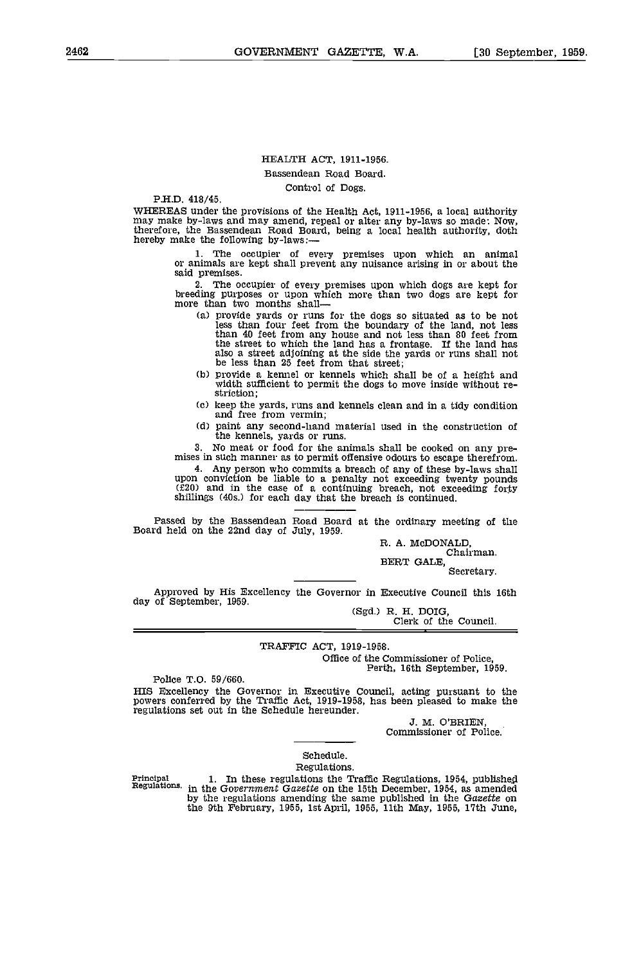### HEALTH ACT, 1911-1956.

### Bassendean Road Board.

### Control of Dogs.

P.H.D. 418/45.<br>WHEREAS under the provisions of the Health Act, 1911-1956, a local authority may make by-laws and may amend, repeal or alter any by-laws so made: Now, therefore, the Bassendean Road Board, being a local health authority, doth hereby make the following by-laws:-

> 1. The occupier of every premises upon which an animal or animals are kept shall prevent any nuisance arising in or about the said premises.

> 2. The occupier of every premises upon which dogs are kept for breeding purposes or upon which more than two dogs are kept for more than two months shall

- provide yards or runs for the dogs so situated as to be not less than four feet from the boundary of the land, not less than 40 feet from any house and not less than 80 feet from the street to which the land has a frontage. If the land has also a street adjoining at the side the yards or runs shall not be less than 25 feet from that street;
- provide a kennel or kennels which shall be of a height and width sufficient to permit the dogs to move Inside without re- striction;
- keep the yards, runs and kennels clean and in a tidy condition and free from vermin;
- paint any second-hand material used in the construction of the kennels, yards or runs.<br>No meat or food for the animals shall be cooked on any pre-

mises in such manner as to permit offensive odours to escape therefrom.

4. Any person who commits a breach of any of these by-laws shall upon conviction be liable to a penalty not exceeding twenty pounds (f20) and in the case of a continuing breach, not exceeding forty shillings (40s.) for each day that the breach is continued.

Passed by the Bassendean Road Board at the ordinary meeting of the Board held on the 22nd day of July, 1959.

R. A. McDONALD, Chairman. BERT GALE, Secretary.

Approved by His Excellency the Governor in Executive Council this 16th day of September, 1959. day of September, 1959. (Sgd.) R. H. DOIG, Clerk of the Council,

### TRAFFIC ACT, 1919-1958.

Office of the Commissioner of Police, Perth, 16th September, 1959.

Police T.O. 59/660.

HIS Excellency the Governor in Executive Council, acting pursuant to the powers conferred by the Traffic Act, 1919-1958, has been pleased to make the regulations set out in the Schedule hereunder.

J. M. O'BRIEN, Commissioner of Police.

### Schedule.

Regulations.<br>In these regulations the Traffic Regulations, 1954, published Principal 1. In these regulations the Traffic Regulations, 1954, published Regulations, in the Government Gazette on the 15th December, 1954, as amended the wave contained in the Gazette on the 9th February, 1955, 1st April, 1955, 11th May, 1955, 17th June,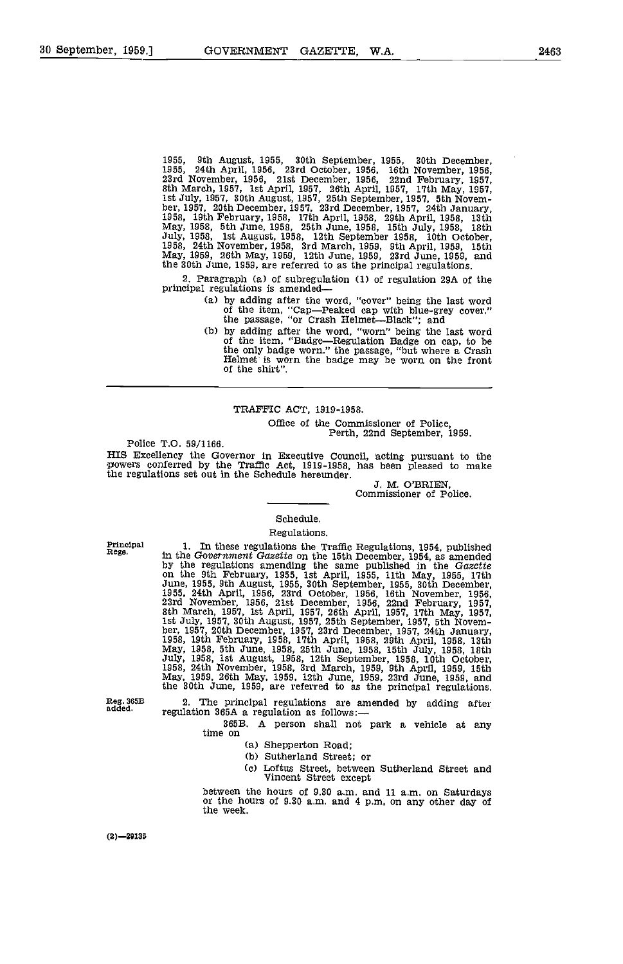1955, 9th August, 1955, 30th September, 1955, 30th December, 1955, 24th April, 1956, 23rd October, 1956, 16th November, 1956, 23rd November, 1956, 21st December, 1956, 22nd February, 1957, 8th March, 1957, 1st April, 1957, 26th April, 1957, 17th May, 1957, 1st July, 1957, 30th Augus 1958, 19th February, 1958, 17th April, 1958, 29th April, 1958, 13th May, 1958, 5th June, 1958, 25th June 1958, 15th July, 1958, 18th July, 1958, 1st August, 1958, 12th September 1958, 10th October, 1958, 24th November, 1958, 3rd March, 1959, 9th April, 1959, 15th May, 1959, 26th May, 1959, 12th June, 1959, 23rd June, 1959, and the 30th June, 1959, are referred to as the principal regulations.

2. Paragraph (a) of subregulation (1) of regulation 29A of the principal regulations is amended-

- by adding after the word, "cover" being the last word of the item, "Cap-Peaked cap with blue-grey cover." the passage, "or Crash Helmet-Black"; and
- by adding after the word, "worn" being the last word of the item, "Badge-Regulation Badge on cap, to be Helmet is worn the badge may be worn on the front of the shirt".

### TRAFFIC ACT, 1919-1958.

Office of the Commissioner of Police,<br>Police T.O. 59/1166. Perth, 22nd September, 1959.

HIS Excellency the Governor in Executive Council, acting pursuant to the powers conferred by the Traffic Act, 1919-1958, has been pleased to make the regulations set out in the Schedule hereunder.<br>J. M. O'BRIEN,<br>Commissioner of Police.

### Schedule. Regulations.

Principal Rege.

In these regulations the Traffic Regulations, 1954, published in the Government Gazette on the 15th December, 1954, as amended by the regulations amending the same published in the Gazette on the 9th February, 1955, 1st April, 1955, 11th May, 1955, 17th June, 1955, 9th August, 1955, 30th September, 1955, 30th December, 1955, 24th April, 1956, 23rd October, 1956, 16th November, 1956, 23rd November, 1956, 21st December, 1956, 22nd February, 1957, 25th March, 1957, 1st April July, 1958, 1st August, 1958, 12th September, 1958, 10th October, 1958, 24th November, 1958, 32th September, 1958, 10th October, 1958, 24th November, 1958, 3rd March, 1959, 9th April, 1959, 15th May, 1959, 26th May, 1959,

Reg. 365B added.

2. The principal regulations are amended by adding after regulation 365A a regulation as follows:  $-$  365B. A person shall not park a vehicle at any time on

- (a) Shepperton Road;<br>(b) Sutherland Street; or
- 
- Cc) Loftus Street, between Sutherland Street and Vincent Street except

between the hours of 9.30 a.m. and 11 a.m. on Saturdays or the hours of 9.30 am. and 4 p.m. on any other day of the week.

 $(2) - 29135$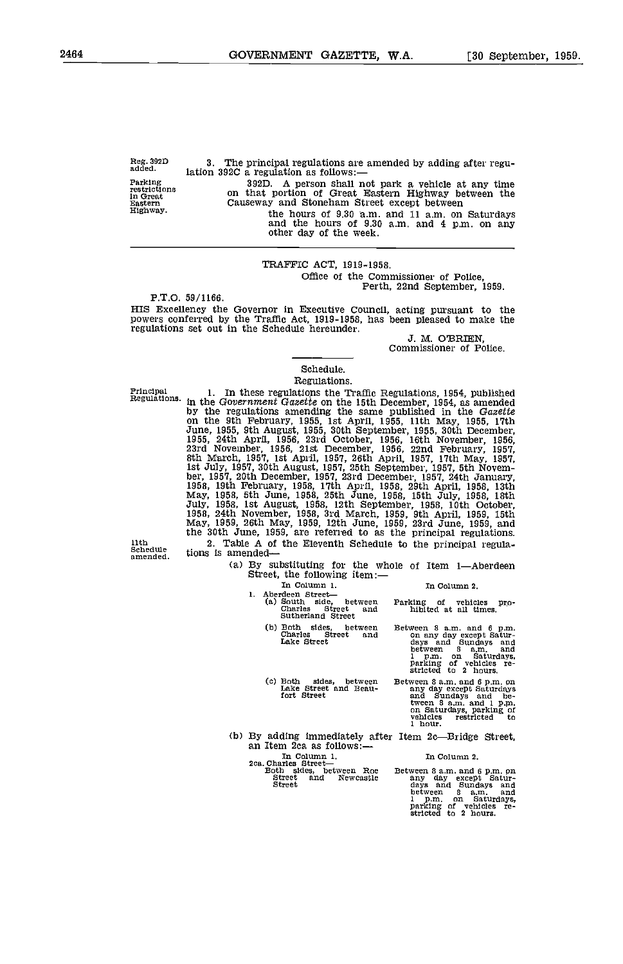Reg. 3920 added. Parking restrictions in Great Eastern

Highway.

3. The principal regulations are amended by adding after regulation 392C a regulation as follows:- 392D. A person shall not park a vehicle at any time on that portion of Great Eastern Highway between the Causeway and Stonehani Street except between

the hours of 9.30 a.m. and  $11$  a.m. on Saturdays and the hours of 9.30 a.m. and  $4$  p.m. on any other day of the week.

### TRAFFIC ACT, 1919-1958. Office of the Commissioner of Police, Perth, 22nd September, 1959.

HIS Excellency the Governor in Executive Council, acting pursuant to the powers conferred by the Traffic Act, 1919-1958, has been pleased to make the regulations set out in the Schedule hereunder.<br>J. M. O'BRIEN,

Commissioner of Police.

### Schedule. Regulations.

Principal Regulations.

1. In these regulations the Traffic Regulations, 1954, published<br>in the Government Gazette on the 15th December, 1954, as amended<br>by the regulations amending the same published in the Gazette<br>on the 9th February, 1955, 1st June, 1955, 9th August, 1955, 30th September, 1955, 30th December, 1955, 24th April, 1956, 23rd October, 1956, 16th November, 1956, 23rd November, 1956, 21st December, 1956, 22nd February, 1957, 36th March, 1957, 1st April July, 1958, 1st August, 1958, 12th September, 1958, 10th October, 1958, 24th November, 1958, 3rd March 1959, 9th April, 1959, 15th May, 1959, 26th May, 1959, 12th June, 1959, 23rd June, 1959, and the 30th June, 1959, are referred to as the principal regulations.<br>2. Table A of the Eleventh Schedule to the principal regula-<br>tions is amended—

11th Schedule amended.

(a) By substituting for the whole of Item 1-Aberdeen Street, the following item:-

In column 2.

1. Aberdeen Street-<br>
1. Aberdeen Street<br>
1. (a) South side, between<br>
Charles Street and<br>
Sutherland Street

In column i.

- Both sides, between Charles Street and Lake Street
- Cc) Both sides, between Lake Street and Beau- fort Street

- Parking of vehicles pro- hibited at all times.
- Between 8 a.m. and 6 p.m.<br>
on any day except Satur-<br>
days and Sundays and<br>
between 8 a.m. and<br>
1 p.m. on Saturdays,<br>
parking of vehicles re-<br>
stricted to 2 hours.

Between 8 a.m. and 6 p.m. on<br>any day except Saturdays<br>and Sundays and be-<br>tween 8 a.m. and 1 p.m. any bandays and pe-<br>tween Saturdays, parking of<br>on Saturdays, parking of<br>vehicles restricted to<br>1 hour.

(b) By adding immediately after Item 2c—Bridge Street,<br>an Item 2ca as follows:—

an Item 2ca as follows:—<br>In Column 1.<br>2ca. Charles Street—<br>Both sides, between Roe<br>Street and lewcastle<br>Street

In Column 2.

Between 8 a.m. and 6 p.m. on any day except Satur-<br>days and Sundays and<br>between 8 a.m. and<br>1 p.m. on Saturdays,<br>parking of vehicles re-<br>stricted to 2 hours.

P.T.O. 59/1166.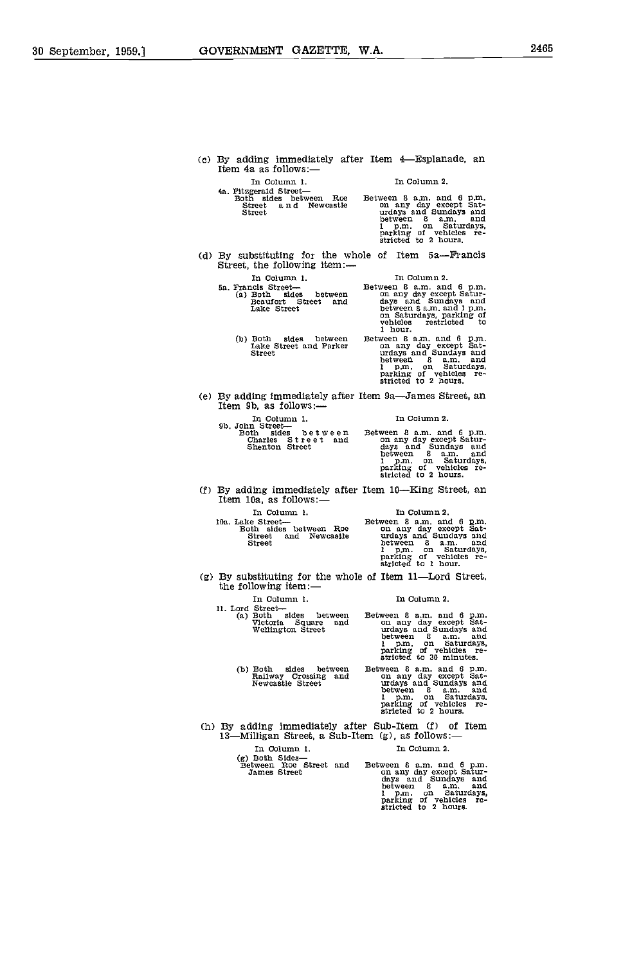(c) By adding immediately after Item 4Esplanade, an Item 4a as follows:-In Column 1. 4a. Fitzgerald Street Both sides between Roe Street a n d Newcastle (e) By adding immediately after Item 9a—James Street, an Item 9b, as follows:— In Column 1. Pb. John Street Both sides between Charles Street nnd Shenton Street 11. Lord Street-<br>(a) Both sides between Betwee Victoria Square and Wellington Street Both sides between Railway Crossing and Newcastle Street In Column 2. Between 8 a.m. and 6 p.m.<br>on any day except Sat-<br>urdays and Sundays and<br>between 8 a.m. and 1 p.m. on Saturdays,<br>parking of vehicles re-<br>stricted to 2 hours. (d) By substituting for the whole of Item  $5a$ —Francis Street, the following item:— In Column 2. Between B am, and 6 p.m. on any day except Satur- days and Sundays and between 8 a.m. and 1 p.m.<br>on Saturdays, parking of<br>vehicles restricted to<br>1 hour. Between 8 a.m. and 6 p.m.<br>
on any day except Sat-<br>
urdays and Sundays and<br>
between 8 a.m. and<br>
1 p.m. on Saturdays,<br>
parking of vehicles re-<br>
stricted to 2 hours. Ia Column 2. Between B am, and 6 p.m. on any day except Satur- days and Sundays and between <sup>B</sup> a.m. and <sup>1</sup> p.m. on Saturdays, parking of vehicles re- stricted to 2 hours.  $(f)$  By adding immediately after Item 10-King Street, an Item 10a, as follows:-In Column 1, The Column 2, In Column 1. Maxween B a.m. and Between B a.m. and Both sides between Roe on any day except Satel and Newcastle urdays and Sunday except Satisfaction Street and Newcastle personal personal street and  $\frac{1}{2}$ between 8 a.m. and <sup>1</sup> p.m. on Saturdays, parking of vehicles re- stricted to 1 hour. (g) By substituting for the whole of Item 11—Lord Street, the following item:— In Column 1. In Column 2. Between 8 a.m. and 6 p.m.<br>
on any day except Sat-<br>
urdays and Sundays and<br>
hetween 8 a.m. and<br>
1 p.m. on Saturdays,<br>
parking of vehicles re-<br>
stricted to 30 minutes. Between 8 a.m. and 6 p.m.<br>
on any day except Sat-<br>
urdays and Sundays and<br>
between 8 a.m. and between <sup>B</sup> am, and <sup>1</sup> p.m. on Saturdays, parking of vehicles re- stricted to 2 hours. (h) By adding immediately after Sub-Item (f) of Item 13-Milligan Street, a Sub-Item (g), as follows:-In Column 1. In Column 2.<br>
(g) Both Sides—<br>
Between B a.m. an James Street and Between B a.m. an James Street and Between any day exce (g) Both Sides—<br>Between Roe Street and Between 8 a.m. and 6 p.m.<br>James Street on any day except Satur-<br>days and Sundays and<br>between 8 a.m. and<br>princ of Saturdays,<br>parking of vehicles re-<br>stricted to 2 hours. In Column 1. Sn. Francis Street Both sides between Beaufort Street and Lake Street Both sides between Lake Street and Parker Street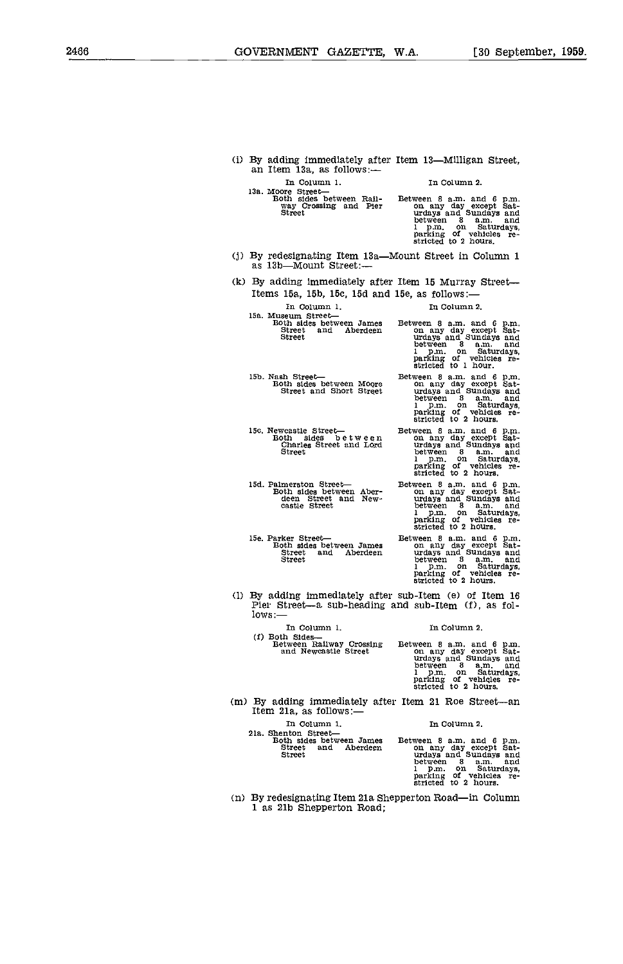(i) By adding immediately after Item  $13$ —Milligan Street, an Item 13a, as follows:— In Column 1. 13a. Moore Street<br>Both sides between Rail-<br>way Crossing and Pier<br>Street lSb. Nash Street Both sides between Moore Street and Short Street 15c. Newcastle Street<br>Both sides between<br>Charles Street and Lord<br>Street lSd. Palmerston Street Both sides between Aber- deen Street and New- castle Street 15e. Parker Street Both sides between James Street and Aberdeen Street In Column 2. Between 8 a.m. and 6 p.m.<br>on any day except Sat-<br>urdays and Sundays and between 8 a.m. and<br>1 p.m. on Saturdays,<br>parking of vehicles re-<br>stricted to 2 hours. (j) By redesignating Item  $13a$ —Mount Street in Column 1 as  $13b$ —Mount Street:— (k) By adding immediately after Item 15 Murray Street-Items 15a, 15b, 15c, 15d and 15e, as follows: In Column 1. 1. In Column 2. 15a. Museum Street-<br>Both sides between James<br>Street and Aberdeen<br>Street Both sides between James Between 8 a.m. and 6 p.m.<br>Street and Aberdeen on any day except Sat-<br>Street urdays and Sundays and between 8 a.m. and<br>1 p.m. on Saturdays,<br>parking of vehicles re-<br>stricted to 1 hour. Between 8 a.m. and 6 p.m.<br>on any day except Sat-<br>urdays and Sundays and<br>between 8 a.m. and<br>1 p.m. on Saturdays,<br>parking of vehicles re-<br>stricted to 2 hours. Between 8 a.m. and 6 p.m.<br>
on any day except Sat-<br>
urdays and Sundays and<br>
between 8 a.m. and<br>
1 p.m. on Saturdays,<br>
parking of vehicles re-<br>
stricted to 2 hours. Between 8 a.m. and 6 p.m.<br>
on any day except Sat-<br>
urdays and Sundays and<br>
between 8 a.m. and<br>
1 p.m. on Saturdays,<br>
parking of vehicles re-<br>
stricted to 2 hours. Between 8 a.m. and 6 p.m.<br>
on any day except Sat-<br>
urdays and Sundays and<br>
between 8 a.m. and<br>
1 p.m. on Saturdays,<br>
parking of vehicles re-<br>
stricted to 2 hours. (1) By adding immediately after sub-Item (e) of Item 16 Pier Street--a sub-heading and sub-Item (f), as follows:--In Column 1. In Column 2. (f) Both Sides—<br>Between Railway Crossing<br>and Newcastle Street between 8 a.m. and<br>1 p.m. on Saturdays,<br>parking of vehiqles re-<br>stricted to 2 hours.  $(m)$  By adding immediately after Item 21 Roe Street-an Item 21a, as follows: In Column 1. In Column 2. 21a. Shenton Street—<br>Both sides between James<br>Street and Aberdeen<br>Street between S a.m. and<br>1 p.m. on Saturdays, parking of vehicles re-<br>stricted to 2 hours.

(n) By redesignating Item 21a Shepperton Road—in Column 1 as 21b Shepperton Road;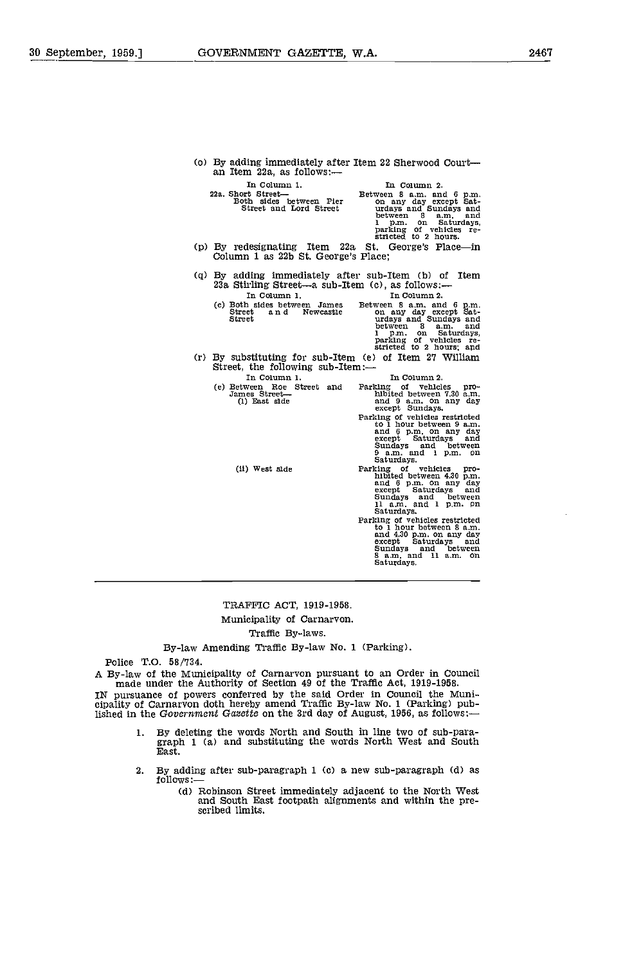(o) By adding immediately after Item 22 Sherwood Court—<br>an Item 22a, as follows:—<br>In Column 1.<br>In Column 2. In Column 1. In Column 2. 22a. Short Street Between B a.m. and Both sides between Pier on any day except Street and Lord Street urdays and Sundays and Sundays and Sundays and Sundays and Sundays and Sundays and Sundays and Sundays and Sundays and S between <sup>B</sup> am, and <sup>1</sup> p.m. on Saturdays, parking of vehicles re- stricted to 2 hours. (p) By redesignating Item 22a St. George's Place-in Column 1 as 22b St. George's Place; By adding immediately after sub-Item (b) of Item<br>23a Stirling Street—a sub-Item (c), as follows:— In Column 1. In Column 2. (c) Both sides between James Between 8 a.m. and 6 p.m. Street and Newcastle on any day except on any day except<br>Street and Newcastle on any day except<br>Street urdays and Sun between <sup>B</sup> a.m. and <sup>1</sup> p.m. on Saturdays, parking of vehicles re- stricted to 2 hours; and By substituting for sub-Item (e) of Item 27 William Street, the following sub-Item:- In Column 1. In Column 2.<br>
(e) Between Roe Street and Parking of vehicles pro-<br>
James Street— hibited between 7.30 a.m.<br>
(1) East side except Sundays.<br>
Parking of vehicles restricted<br>
to 1 hour between 9 a.m.<br>
and 6 p.m. o (ii) West side Parking of vehicles pro-<br>
hibited between 4.30 p.m.<br>
and 6 p.m. on any day<br>
except Saturdays and<br>
Sundays and between<br>
11 a.m. and 1 p.m. Pu Farking of vehicles restricted<br>to 1 hour between 8 a.m.<br>and 4.30 p.m. on any day<br>except Saturdays and<br>Sundays and 11 a.m. on<br>Saturdays.

### TRAFFIC ACT, 1919-1958. Municipality of Carnarvon. Traffic By-laws.

By-law Amending Traffic By-law No. 1 (Parking).

Police T.O. 58/734.

A By-law of the Municipality of Carnarvon pursuant to an Order in Council<br>made under the Authority of Section 49 of the Traffic Act, 1919-1958.<br>IN pursuance of powers conferred by the said Order in Council the Municipality lished in the Government Gazette on the 3rd day of August, 1956, as follows:-

- By deleting the words North and South in line two of sub-para- graph 1 (a) and substituting the words North West and South East. 1.
- $2.$ By adding after sub-paragraph 1 (c) a new sub-paragraph (d) as  $follows:$ 
	- (d) Robinson Street immediately adjacent to the North West and South East footpath alignments and within the pre- scribed limits.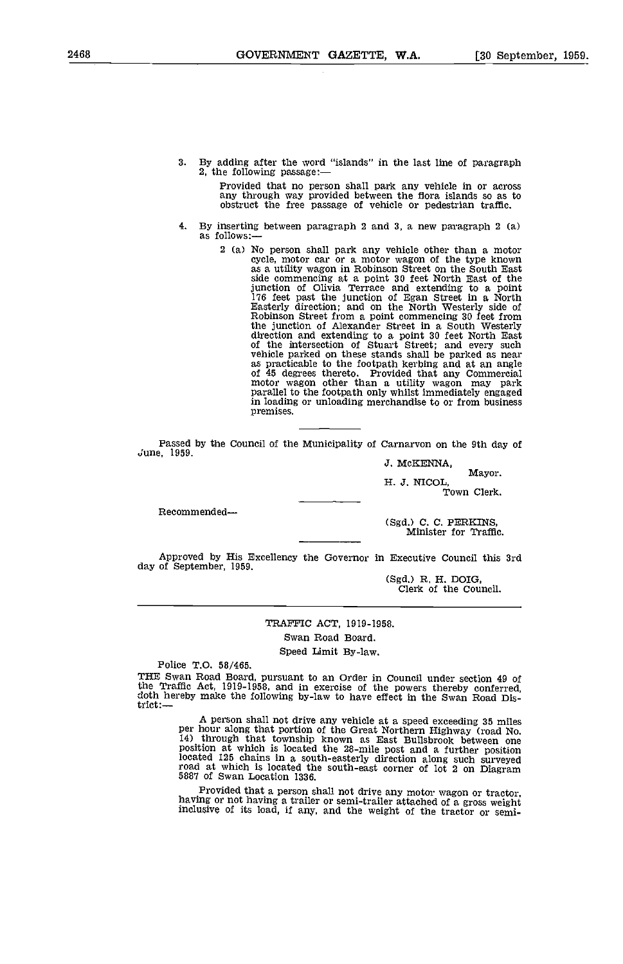By adding after the word "islands' in the last line of paragraph 2, the following passage:  $\mathbf{R}$ .

Provided that no person shall park any vehicle in or across any through way provided between the flora islands so as to obstruct the free passage of vehicle or pedestrian traffic.

- 4. By inserting between paragraph 2 and 3, a new paragraph 2 (a) as follows:—
	- 2 (a) No person shall park any vehicle other than a motor cycle, motor car or a motor wagon of the type known as a utility wagon in Robinson Street on the South East side commencing at a point 30 feet North East of the junction of Olivia Terrace and extending to a point 176 feet past the junction of Egan Street in a North Easterly direction and on the North Westerly side of Robinson Street from a point commencing 30 feet from the junction of Alexander Street in a South Westerly direction and extending to a point 30 feet North East of the intersection of Stuart Street; and every such venture stands in the footpath kerbing and at an angle of 45 degrees thereto. Provided that any Commercial motor wagon other than a utility wagon may park parallel to the footpath only whilst immediately engaged in loading or unloading merchandise to or from business premises.

Passed by the Council of the Municipality of Carnarvon on the 9th day of June, 1959.

3. McKENNA,

H. J. NICOL, Town Clerk.

Recommended-

(Sgd.) C. C. PERKINS, Minister for Traffic.

Approved by His Excellency the Governor in Executive Council this 3rd day of September, 1959.

(Sgd.) R. H. DOIG, Clerk of the Council.

TRAFFIC ACT, 1919-1958. Swan Road Board. Speed Limit By-law.

Police T.O. 58/465.

THE Swan Road Board, pursuant to an Order in Council under section 49 of the Traffic Act, 1919-1958, and in exercise of the powers thereby conferred, doth hereby make the following by-law to have effect in the Swan Road Dis-<br>trict:---

A person shall not drive any vehicle at a speed exceeding 35 miles<br>per hour along that portion of the Great Northern Highway (road No.<br>14) through that township known as East Bullsbrook between one<br>position at which is loc located 125 chains in a south-easterly direction along such surveyed road at which is located the south-east corner of lot 2 on Diagram 5887 of Swan Location 1336.

Provided that a person shall not drive any motor wagon or tractor, having or not having a trailer or semi-trailer attached of a gross weight inclusive of its load, if any, and the weight of the tractor or semi-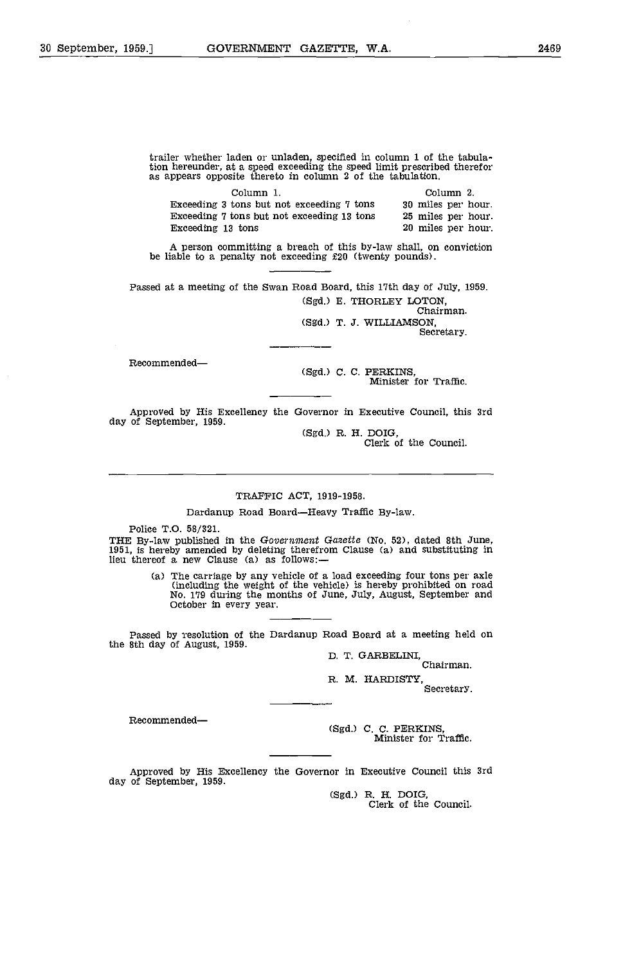trailer whether laden or unladen, specified in column 1 of the tabulation hereunder, at a speed exceeding the speed limit prescribed therefor as appears opposite thereto in column 2 of the tabulation.

| Column 1.                                  | Column 2.          |
|--------------------------------------------|--------------------|
| Exceeding 3 tons but not exceeding 7 tons  | 30 miles per hour. |
| Exceeding 7 tons but not exceeding 13 tons | 25 miles per hour. |
| Exceeding 13 tons                          | 20 miles per hour. |

A person committing a breach of this by-law shall, on conviction be liable to a penalty not exceeding £20 (twenty pounds).

Passed at a meeting of the Swan Road Board, this 17th day of July, 1959. (Sgd.) B. THORLEY LOTON, Chairman.

(Sgd.) T. J. WILLIAMSON,<br>Secretary.

Recommended-

(Sgd.) C. C. PERKINS, Minister for Traffic.

Approved by His Excellency the Governor in Executive council, this 3rd day of September, 1959.

(Sgd.) R. H. DOIG,<br>Clerk of the Council.

### TRAFFIc ACT, 1919-1958.

Dardanup Road Board-Heavy Traffic By-law.

Police T.O. 58/321.<br>THE By-law published in the Government Gazette (No. 52), dated 8th June, THE By-law published in the Government Gazette (No. 52), dated 8th June,<br>1951, is hereby amended by deleting therefrom Clause (a) and substituting in lieu thereof a new clause (a) as follows:

(a) The carriage by any vehicle of a load exceeding four tons per axle (including the weight of the vehicle) is hereby prohibited on road No. 179 during the months of June, July, August, September and October in every year.

Passed by resolution of the Dardanup Road Board at a meeting held on the 8th day of August, 1959, D. T. GARBELINI, Chairman.

R. M. HARDISTY,

Secretary.

Recommended-

(sgd.) c. C. PERKINS, Minister for Traffic.

Approved by His Excellency the Governor in Executive council this 3rd day of September, 1959.

(Sgd.) R. H. DOIG,<br>Clerk of the Council.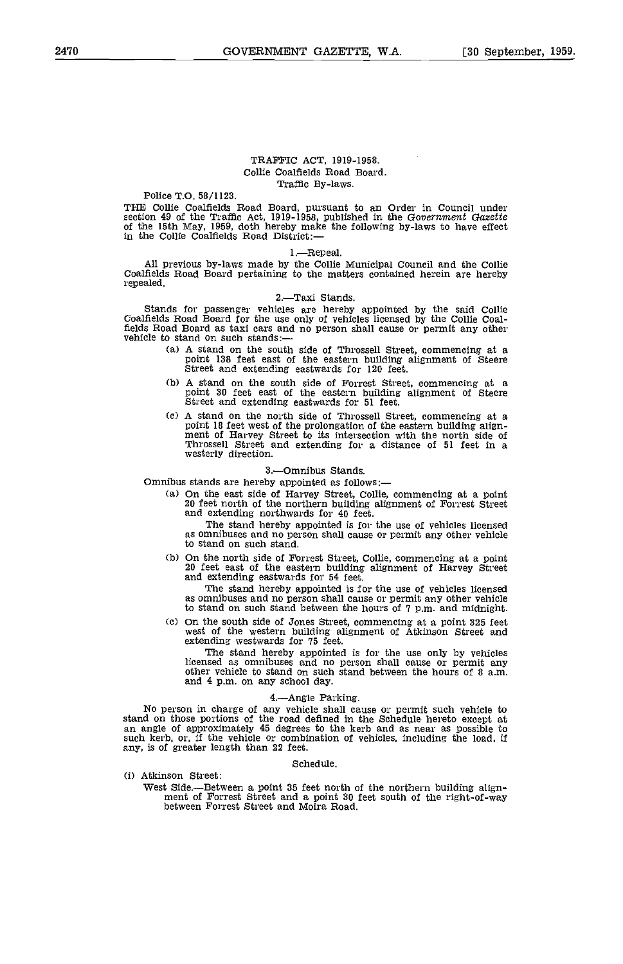### TRAFFIC ACT, 1919-1958. Collie Coalfields Road Board. Traffic By-laws.

Police T.O. 58/1123.

THE Collie Coalfields Road Board, pursuant to an Order in Council under<br>section 49 of the Traffic Act, 1919-1958, published in the Government Gazette<br>of the 15th May, 1959, doth hereby make the following by-laws to have ef

### 1.-Repeal.

All previous by-laws made by the Collie Municipal Council and the Collie Coalfields Road Board pertaining to the matters contained herein are hereby repealed.

### 2.Taxi Stands.

Stands for passenger vehicles are hereby appointed by the said Collie Coalfields Road Board for the use only of vehicles licensed by the Collie Coalfields Road Board as taxi cars and no person shall cause or permit any oth

- A stand on the south side of Throssell Street, commencing at a point 138 feet east of the eastern building alignment of Steere Street and extending eastwards for 120 feet.
- A stand on the south side of Forrest Street, commencing at <sup>a</sup> point 30 feet east of the eastern building alignment of Steere Street and extending eastwards for 51 feet.
- n sum on the hot an sue of the prolongation of the eastern building align-<br>point 18 feet west of the prolongation of the eastern building align-<br>ment of Harvey Street to its intersection with the north side of<br>Throssell St

### 3.Omnibus Stands.

Omnibus stands are hereby appointed as follows:

On the east side of Harvey Street, Collie, commencing at a point 20 feet north of the northern building alignment of Forrest Street and extending northwards for 40 feet.

The stand hereby appointed is for the use of vehicles licensed as omnibuses and no person shall cause or permit any other vehicle to stand on such stand.

On the north side of Forrest Street, Collie, commencing at a point 20 feet east of the eastern building alignment of Harvey Street and extending eastwards for 54 feet.

The stand hereby appointed is for the use of vehicles licensed as omnibuses and no person shall cause or permit any other vehicle to stand on such stand between the hours of 7 p.m. and midnight.

On the south side of Jones Street, commencing at a point 325 feet west of the western building alignment of Atkinson Street and extending westwards for 75 feet.

The stand hereby appointed is for the use only by vehicles licensed as omnibuses and no person shall cause or permit any other vehicle to stand on such stand between the hours of 8 am. and 4 p.m. on any school day.

### 4.Angle Parking.

No person in charge of any vehicle shall cause or permit such vehicle to stand on those portions of the road defined in the Schedule hereto except at an angle of approximately 45 degrees to the kerb and as near as possible to such kerb, or, if the vehicle or combination of vehicles, including the load, if any, is of greater length than 22 feet.

Schedule.

(i) Atkinson Street:

## West Side.—Between a point 35 feet north of the northern building align-<br>ment of Forrest Street and a point 30 feet south of the right-of-way between Forrest Street and Moira Road.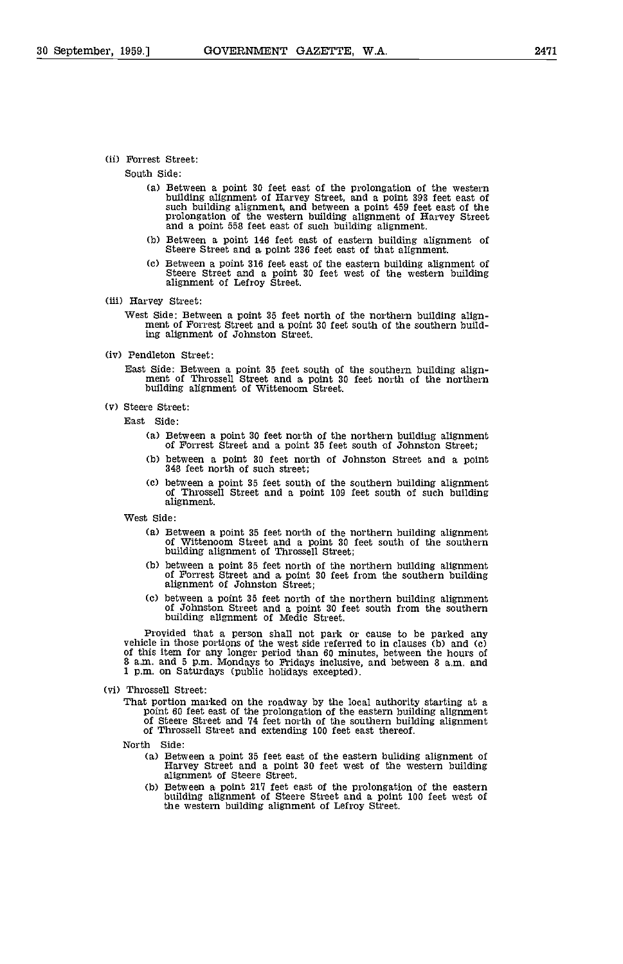### (ii) Forrest Street:

South Side:

- Between a point 30 feet east of the prolongation of the western building alignment of Harvey Street, and a point 393 feet east of such building alignment, and between a point 459 feet east of the prolongation of the western building alignment of Harvey Street and a point 558 feet east
- Between a point 146 feet east of eastern building alignment of Steere Street and a point 236 feet east of that alignment.
- Between a point 316 feet east of the eastern building alignment of Steere Street and a point 30 feet west of the western building<br>alignment of Lefroy Street.
- (iii) Harvey Street:
	- West Side: Between a point 35 feet north of the northern building align- ment of Forrest Street and a point 30 feet south of the southern building alignment of Johnston Street.
- (iv) Pendleton Street:
	- East Side: Between a point 35 feet south of the southern building align- ment of Throssell Street and a point 30 feet north of the northern building alignment of Wittenoom Street.
- (v) Steere Street:
	- East Side:
		- Between a point 30 feet north of the northern building alignment of Forrest Street and a point 35 feet south of Johnston Street;
		- between a point 30 feet north of Johnston Street and a point 348 feet north of such street;
		- between a point 35 feet south of the southern building alignment of Throssell Street and a point 109 feet south of such building alignment.

West Side:

- Ca) Between a point 35 feet north of the northern building alignment of Wittenoom Street and a point 30 feet south of the southern building alignment of Throssell Street;
- (b) between a point 35 feet north of the northern building alignment of Forrest Street and a point 30 feet from the southern building alignment of Johnston Street;
- Cc) between a, point 35 feet north of the northern building alignment of Johnston Street and a point 30 feet south from the southern building alignment of Medic Street.

Provided that a person shall not park or cause to be parked any vehicle in those portions of the west side referred to in clauses (b) and (c) vehicle in the west side referred to in contract to the course of this item for any longer period than 60 minutes, between the hours of 8 a.m. and 5 p.m. Mondays to Fridays inclusive, and between 8 a.m. and 1 p.m. on Saturdays (public holidays excepted).

- (vi) Throssell Street:
	- That portion marked on the roadway by the local authority starting at a point 60 feet east of the prolongation of the eastern building alignment of Steere Street and 74 feet north of the southern building alignment of Thro

- North Side:<br>(a) Between a point 35 feet east of the eastern buliding alignment of Harvey Street and a point 30 feet west of the western building alignment of Steere Street.
	- (b) Between a point 217 feet east of the prolongation of the eastern building alignment of Steere Street and a point 100 feet west of the western building alignment of Lefroy Street.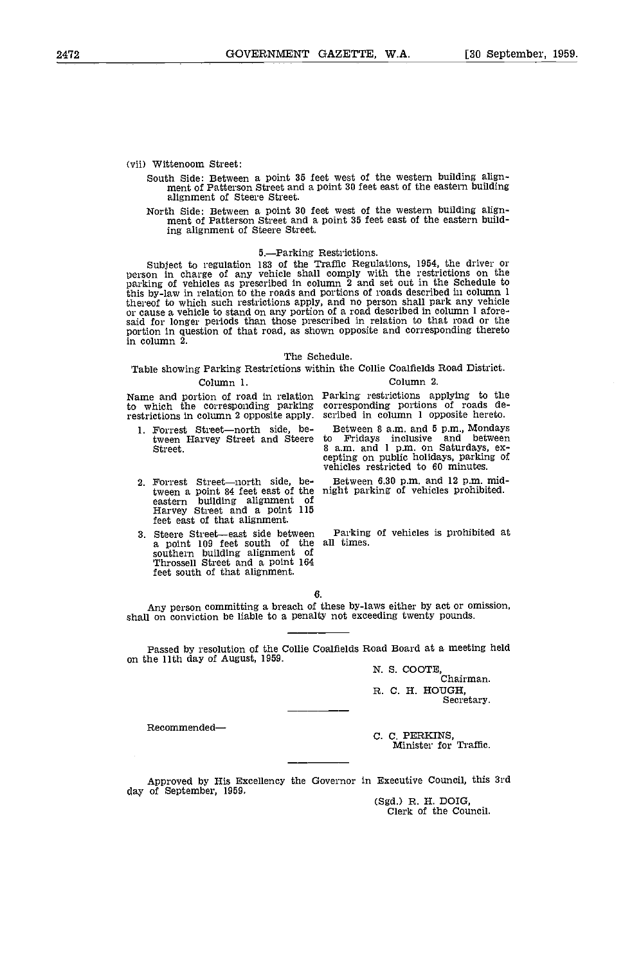(vii) Wittenoom Street:

- South Side: Between a point 35 feet west of the western building align- ment of Patterson Street and a point 30 feet east of the eastern building alignment of Steere Street.
- North Side: Between a point 30 feet west of the western building align- ment of Patterson Street and a point 35 feet east of the eastern building alignment of Steere Street.

5.—Parking Restrictions.<br>Subject to regulation 183 of the Traffic Regulations, 1954, the driver or<br>person in charge of any vehicle shall comply with the restrictions on the parking of vehicles as prescribed in column 2 and set out in the Schedule to this by-law in relation to the roads and portions of roads described in column 1 thereof to which such restrictions apply, and no person shall pa said for longer periods than those prescribed in relation to that road or the portion in question of that road, as shown opposite and corresponding thereto in column 2.

### The Schedule.

Table showing Parking Restrictions within the Collie Coalfields Road District. Column 1. Column 2.

Name and portion of road in relation to which the corresponding parking restrictions in corresponding parking corresponding portions of roads de restrictions in column 2 opposite apply. scribed in column 1 opposite hereto.

- 1. Forrest Street-north side, be-
- Forrest Street—north side, be- Betwee<br>tween a point 84 feet east of the night pa eastern building alignment of Harvey Street and a point 115 feet east of that alignment.
- 3. Steere Street—east side between Parking<br>a point 109 feet south of the all times. a point 109 feet south of the southern building alignment of Throssell Street and a point 164 feet south of that alignment.

Parking restrictions applying to the corresponding portions of roads de- scribed in column 1 opposite hereto.

tween Harvey Street and Steere to Fridays inclusive and between<br>Street.<br>Street. and Steere sam. and 1 p.m. on Saturdays, ex-<br>cepting on public holidays, parking of Between 3 am. and 5 p.m., Mondays to Fridays inclusive and between 8 a.m. and 1 p.m. on Saturdays, ex-<br>cepting on public holidays, parking of vehicles restricted to 60 minutes.

Between 6.30 p.m. and 12 p.m. mid-<br>night parking of vehicles prohibited.

Parking of vehicles is prohibited at

### 6.

Any person committing a breach of these by-laws either by act or omission, shall on conviction be liable to a penalty not exceeding twenty pounds.

Passed by resolution of the Collie Coalfields Road Board at a meeting held on the 11th day of August, 1959.

> N. S. COOTE,<br>Chairman. R. C. H. HOUGH,<br>Secretary.

Recommended-

C. C. PERKINS, Minister for Traffic.

Approved by His Excellency the Governor in Executive Council, this 3rd day of September, 1959.<br>
(Sgd.) R. H. DOIG,<br>
Clerk of the Council.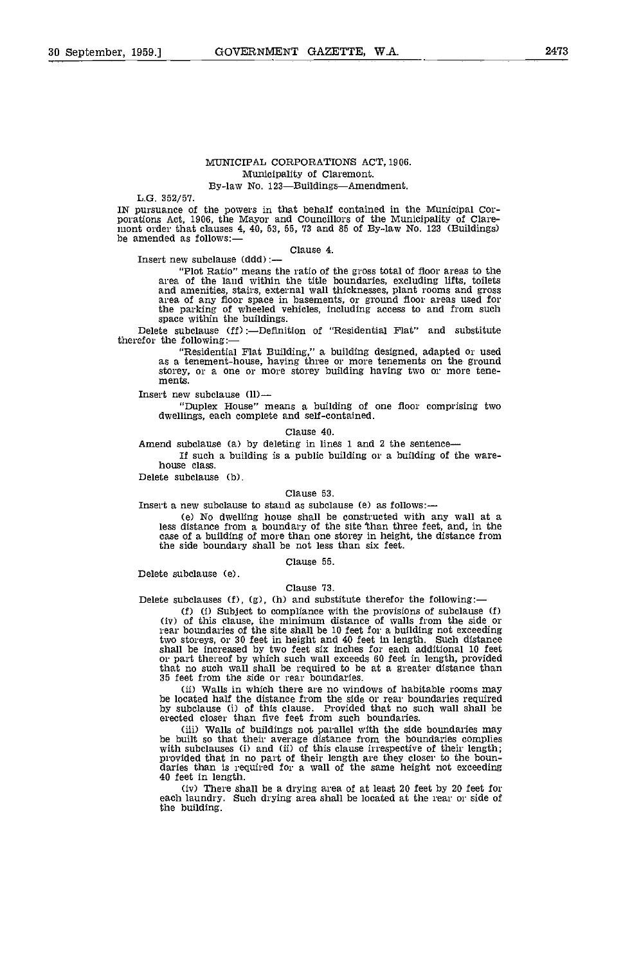### MUNICIPAL CORPORATIONS ACT, 1906. Municipality of Claremont. By-law No. 123-Buildings-Amendment.

L.O. 352/57.

IN pursuance of the powers in that behalf contained in the Municipal Corporations Act, 1906, the Mayor and Councillors of the Municipality of Claremont order that clauses 4, 40, 53, 55, 73 and 85 of By-law No. 123 (Buildin

Clause 4. Insert new subclause (ddd)

"Plot Ratio" means the ratio of the gross total of floor areas to the<br>area of the land within the title boundaries, excluding lifts, toilets<br>and amenities, stairs, external wall thicknesses, plant rooms and gross<br>area of a the parking of wheeled vehicles, including access to and from such space within the buildings.

Delete subclause (ff):-Definition of "Residential Flat" and substitute therefor the following:

> "Residential Flat Building," a building designed, adapted or used as a tenement-house, having three or more tenements on the ground storey, or a one or more storey building having two or more tenements.

Insert new subclause

"Duplex House" means a building of one floor comprising two dwellings, each complete and self-contained.

Clause 40.

Amend subclause (a) by deleting in lines 1 and 2 the sentence

If such a building is a public building or a building of the ware- house class.

Delete subclause (b).

### clause 53.

Insert a new subclause to stand as subclause (e) as follows: $-$ 

No dwelling house shall be constructed with any wall at a less distance from a boundary of the site 'than three feet, and, in the case of a building of more than one storey in height, the distance from the side boundary shall be not less than six feet.

### Clause 55.

Delete subclause (e).

### Clause 73.

Delete subclauses (f), (g), (h) and substitute therefor the following:—<br>(f) (i) Subject to compliance with the provisions of subclause (f) (i) Subject to compliance with the provisions of subclause Cf) (iv) of this clause, the minimum distance of walls from the side or rear boundaries of the site shall be 10 feet for a building not exceeding two storeys, or 30 feet in height and 40 feet in length. Such distance shall be increased by two feet six inches for each additional 10 feet or part thereof by which such wall exceeds 60 feet in length, provided that no such wall shall be required to be at a greater distance than 35 feet from the side or rear boundaries.

Walls in which there are no windows of habitable rooms may be located half the distance from the side or rear boundaries required by subclause Ci) of this clause. Provided that no such wall shall be erected closer than five feet from such boundaries.

(iii) Walls of buildings not parallel with the side boundaries may<br>be built so that their average distance from the boundaries complies<br>with subclauses (i) and (ii) of this clause irrespective of their length;<br>provided tha 40 feet in length.<br>(iv) There shall be a drying area of at least 20 feet by 20 feet for

each laundry. Such drying area shall be located at the rear or side of the building.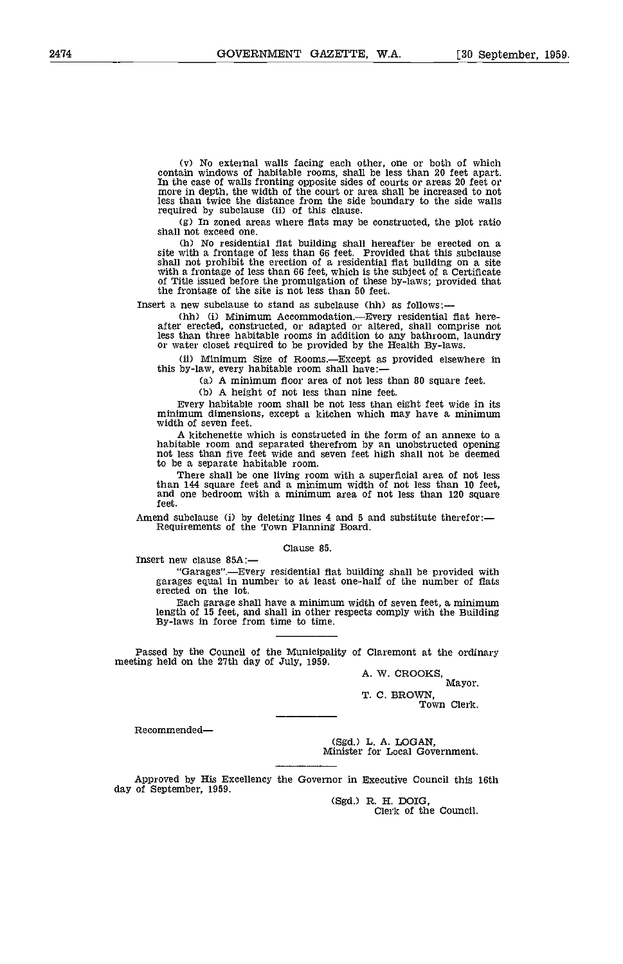(v) No external walls facing each other, one or both of which contain windows of habitable rooms, shall be less than 20 feet apart.<br>In the case of walls fronting opposite sides of courts or areas 20 feet or more in depth, the width of the court or area shall be increased to not less than twice the distance from the side boundary to the side walls required by subclause (ii) of this clause.

Cg) In zoned areas where flats may be constructed, the plot ratio shall not exceed one.

Ch) No residential flat building shall hereafter be erected on a site with a frontage of less than 66 feet. Provided that this subclause with a frontage of less than 66 feet, which is the subject of a Certificate<br>of Title issued before the promulgation of these by-laws; provided that<br>the frontage of the site is not less than 50 feet.

Insert a new subclause to stand as subclause Chh) as follows:-

(hh) (i) Minimum Accommodation.—Every residential flat here-<br>after erected, constructed, or adapted or altered, shall comprise not less than three habitable rooms in addition to any bathroom, laundry or water closet required to be provided by the Health By-laws.

(ii) Minimum Size of Rooms.—Except as provided elsewhere in this by-law, every habitable room shall have:

Ca) A minimum floor area of not less than 80 square feet.

(b) A height of not less than nine feet.<br>Every habitable room shall be not less than eight feet wide in its minimum dimensions, except a kitchen which may have a minimum width of seven feet.

A kitchenette which is constructed in the form of an annexe to a habitable room and separated therefrom by an unobstructed opening not less than five feet wide and seven feet high shall not be deemed to be a separate habitable room.

There shall be one living room with a superficial area of not less than 144 square feet and a minimum width of not less than 10 feet. and one bedroom with a minimum area of not less than 120 square feet.

Amend subclause (i) by deleting lines 4 and 5 and substitute therefor:—<br>Requirements of the Town Planning Board.

Clause 85.

Insert new clause 85A:-

"Garages".Every residential flat building shall be provided with garages equal in number to at least one-half of the number of flats erected on the lot.

Each garage shall have a minimum width of seven feet, a minimum length of 15 feet, and shall in other respects comply with the Building By-laws in force from time to time.

Passed by the Council of the Municipality of Claremont at the ordinary meeting held on the 27th day of July, 1959,

A. W. CROOKS, Mayor. T. C. BROWN, Town Clerk.

Recommended-

(Sgd.) L. A. LOGAN, Minister for Local Government.

Approved by His Excellency the Governor in Executive Council this 16th day of September, 1959.

CSgd.) R. H, IDOIG, Clerk of the Council.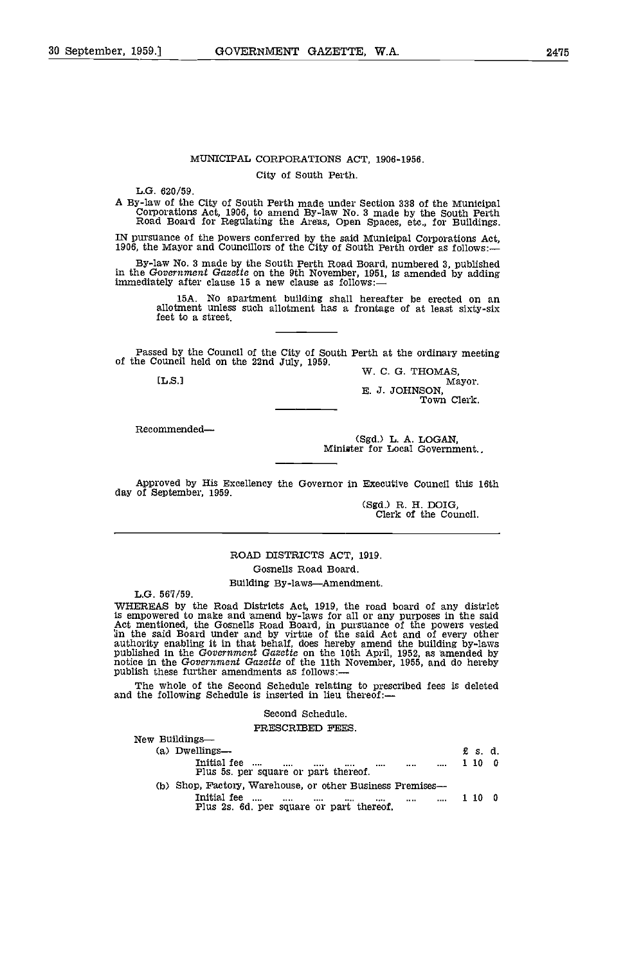### MUNICIPAL CORPORATIONS ACT, 1906-1956. City of South Perth.

L.G. 620/59.

A By-law of the City of South Perth made under Section 338 of the Municipal Corporations Act, 1906, to amend By-law No. 3 made by the South Perth Road Board for Regulating the Areas, Open Spaces, etc., for Buildings.

IN pursuance of the powers conferred by the said Municipal Corporations Act, 1906, the Mayor and Councillors of the City of South Perth order as follows:

By-law No. 3 made by the South Perth Road Board, numbered 3, published in the Government Gazette on the 9th November, 1951, is amended by adding immediately after clause 15 a new clause as follows:-

iSA. No apartment building shall hereafter be erected on an allotment unless such allotment has a frontage of at least sixty-six feet to a street.

Passed by the Council of the City of South Perth at the ordinary meeting<br>of the Council held on the 22nd July, 1959.<br>W. C. G. THOMAS, [L.S.]<br>E. J. JOHNSON, Mayor.

Mayor.<br>E. J. JOHNSON, Wayor.<br>Town Clerk.

Recommended

(Sgd.) L. A. LOGAN, Minister for Local Government..

Approved by His Excellency the Governor in Executive Council this 16th day of September, 1959.

(Sgd.) R. H. DOIG, Clerk of the Council.

### ROAD DISTRICTS ACT, 1919. Gosnells Road Board.

Building By-laws-Amendment.

L.G. 567/59.

WHEREAS by the Road Districts Act, 1919, the road board of any district is empowered to make and amend by-laws for all or any purposes in the said<br>Act mentioned, the Gosnells Road Board, in pursuance of the powers vested<br>in the said Board under and by virtue of the said Act and of every other<br> notice in the Government Gazette of the 11th November, 1955, and do hereby publish these further amendments as follows:—

The whole of the Second Schedule relating to prescribed fees is deleted and the following Schedule is inserted in lieu thereof:—

### Second Schedule.

### PRESCRIBED FEES

|  | New Buildings—                                                                                                                                   |       |  |
|--|--------------------------------------------------------------------------------------------------------------------------------------------------|-------|--|
|  | (a) Dwellings-                                                                                                                                   | £s.d. |  |
|  | Initial fee<br>$\cdots$<br><br><br><br><br><br>Plus 5s, per square or part thereof.                                                              | 1100  |  |
|  | (b) Shop, Factory, Warehouse, or other Business Premises—<br>Initial fee<br>$\cdots$<br><br><br><br><br>Plus 2s. 6d, per square or part thereof. | 1100  |  |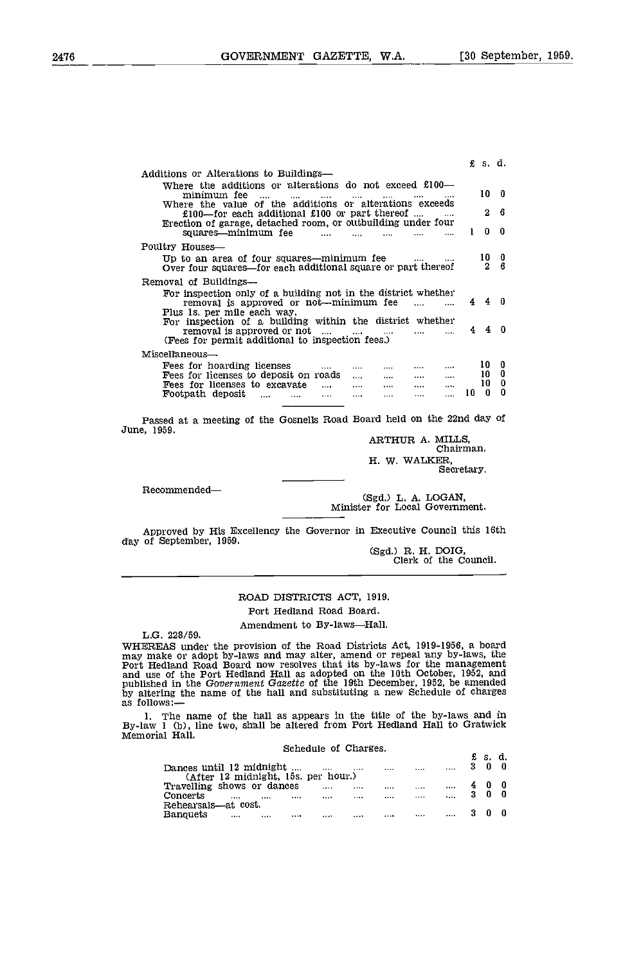£ 5. d.

| Additions or Alterations to Buildings—                                                                                                                                                                       |           |                                                 |
|--------------------------------------------------------------------------------------------------------------------------------------------------------------------------------------------------------------|-----------|-------------------------------------------------|
| Where the additions or alterations do not exceed $£100$ —<br>minimum fee<br>$\cdots$<br>$\cdots$<br>$\cdots$<br>$\cdots$                                                                                     |           | 10 0                                            |
| Where the value of the additions or alterations exceeds<br>£100—for each additional £100 or part thereof                                                                                                     |           | - 6<br>$^{2}$                                   |
| Erection of garage, detached room, or outbuilding under four<br>squares—minimum fee<br><u>and the community of the community of the community of the community of the community of the community of the </u> | $\sim$ 1. | - 0<br>0                                        |
| Poultry Houses-                                                                                                                                                                                              |           |                                                 |
| Up to an area of four squares—minimum fee                                                                                                                                                                    |           | $\begin{array}{cc} 10 & 0 \\ 2 & 6 \end{array}$ |
| Over four squares—for each additional square or part thereof                                                                                                                                                 |           |                                                 |
| Removal of Buildings—                                                                                                                                                                                        |           |                                                 |
| For inspection only of a building not in the district whether<br>removal is approved or not—minimum fee<br>Plus 1s. per mile each way.                                                                       |           | 440                                             |
| For inspection of a building within the district whether<br>removal is approved or not $\dots$ $\dots$ $\dots$ $\dots$ $\dots$ $\dots$                                                                       |           | $4\quad 4\quad 0$                               |
| (Fees for permit additional to inspection fees.)                                                                                                                                                             |           |                                                 |
| Miscellaneous-                                                                                                                                                                                               |           |                                                 |
| Fees for hoarding licenses<br>$\cdots$<br>$\sim$ $\sim$ $\sim$<br><b><i>Contract</i></b><br>$\cdots$<br>$\cdots$                                                                                             |           | 10 0                                            |
| Fees for licenses to deposit on roads<br>المسامين السنادا البلبا<br>$\mathbf{r}$                                                                                                                             |           | 10 <sub>0</sub>                                 |
| Fees for licenses to excavate<br>المستحدث السباب السناد<br>$\sim$                                                                                                                                            |           | 10 <sub>0</sub>                                 |
| Footpath deposit , , , , , ,                                                                                                                                                                                 | 10        | 0<br>0                                          |

Passed at a meeting of the Gosnells Road Board held on the 22nd day of June, 1959.

ARTHUR A. MILLS, Chairman. H. W. WALKER, Secretary.

Recommended—<br>
(Sgd.) L. A. LOGAN,<br>
Minister for Local Government.

Approved by His Excellency the Governor in Executive Council this 16th day of September, 1959. day of September, 1959.<br>
(Sgd.) R. H. DOIG,<br>
Clerk of the Council.

### ROAD DISTRICTS ACT, 1919.

Port Hedland Road Board.

Amendment to By-laws-Hall.

L.G. 228/59.<br>WHEREAS under the provision of the Road Districts Act, 1919-1956, a board<br>may make or adopt by-laws and may alter, amend or repeal any by-laws, the WHEREAS under the provision of the Road Districts Act, 1919-1956, a board<br>may make or adopt by-laws and may alter, amend or repeal any by-laws, the<br>Port Hedland Road Board now resolves that its by-laws for the management<br>a published in the Government Gazette of the 19th December, 1952, be amended by altering the name of the hall and substituting a new Schedule of charges as follows:-

1. The name of the hall as appears in the title of the by-laws and in By-law 1 (b), line two, shall be altered from Port Hedland Hall to Gratwick Memorial Hall.

| Schedule of Charges.                                                                         |    | £s.d. |  |
|----------------------------------------------------------------------------------------------|----|-------|--|
| Dances until 12 midnight<br><br>1111<br>1.111<br><br><br>(After 12 midnight, 15s. per hour.) |    |       |  |
| Travelling shows or dances<br><br><br><br><br>                                               | 40 |       |  |
| Concerts<br>$\cdots$<br><br><br><br><br><br><br>                                             |    |       |  |
| Rehearsals—at cost.<br>Banquets<br><br><br><br><br><br><br><br>                              |    |       |  |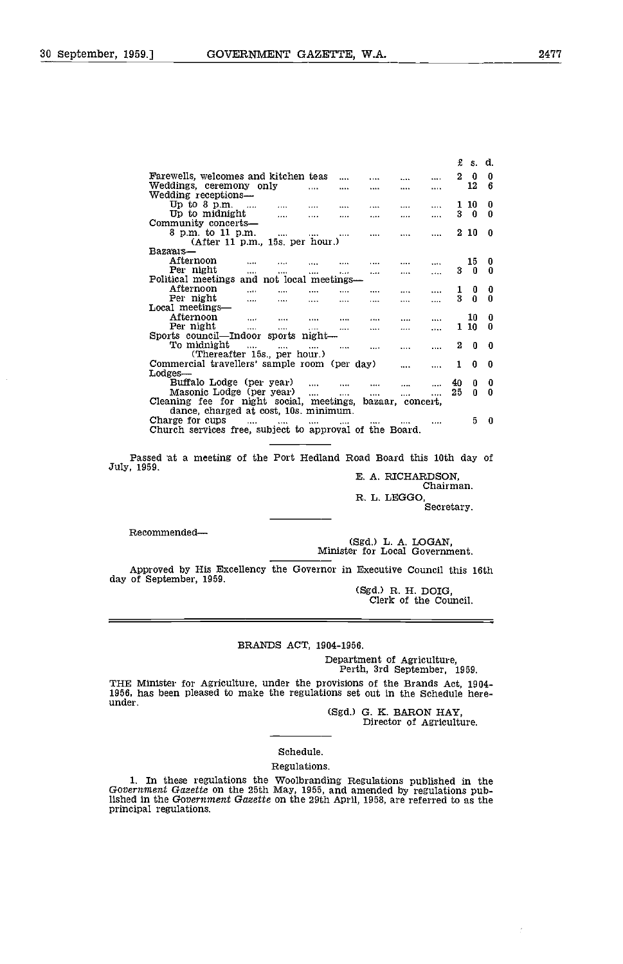|                                                           |                         |              |               |          |   | £             | s. d.   |          |
|-----------------------------------------------------------|-------------------------|--------------|---------------|----------|---|---------------|---------|----------|
| Farewells, welcomes and kitchen teas                      |                         | $\cdots$     | $\cdots$      |          |   | 2             | 0       | 0        |
| Weddings, ceremony only                                   | $\cdots$                |              | $\cdots$      |          |   |               | 12      | 6        |
| Wedding receptions—                                       |                         |              |               |          |   |               |         |          |
| Up to $8$ p.m. $\ldots$<br>$\cdots$                       |                         | $\cdots$     | $\cdots$      | $\cdots$ |   | 1             | -10     | 0        |
| Up to midnight<br>$\cdots$                                | $\cdots$                | $\cdots$     | $\cdots$      |          |   | 3.            | 0       | 0        |
| Community concerts—                                       |                         |              |               |          |   |               |         |          |
| 8 p.m. to 11 p.m.                                         | and the contract of the | $\cdots$     | $\cdots$      | $\cdots$ |   |               | $2\,10$ | 0        |
| After 11 p.m., 15s. per hour.)                            |                         |              |               |          |   |               |         |          |
| Bazaais—                                                  |                         |              |               |          |   |               |         |          |
| Afternoon<br>$\cdots$<br>                                 |                         | $\cdots$     |               | .        |   |               | 15      | 0        |
| Per night<br><b>Address Co.</b><br>$\cdots$               | $\cdots$                | 1.11         | $\cdots$      |          |   | 3             |         | 0        |
| Political meetings and not local meetings—                |                         |              |               |          |   |               |         |          |
| Afternoon<br>$\cdots$<br>$\cdots$                         | $\cdots$                | $\cdots$     |               |          |   | $\frac{1}{3}$ | 0       | 0        |
| Per night<br>$\cdots$<br>$\cdots$                         | $\cdots$                | $\cdots$     |               |          |   |               | 0       | $\bf{0}$ |
| Local meetings—                                           |                         |              |               |          |   |               |         |          |
| Afternoon<br>$\cdots$<br>$\cdots$                         | $\cdots$                |              | $\cdots$      | $\cdots$ |   |               | 10      | 0        |
| Per night<br>$\cdots$<br>$\cdots$                         | $\cdots$                |              | $\cdots$      |          |   |               | $1\,10$ | 0        |
| Sports council—Indoor sports night—                       |                         |              |               |          |   |               |         |          |
| To midnight<br>$\sim$ $\sim$ $\sim$                       |                         | $\cdots$     |               | $\cdots$ |   | $\mathbf{2}$  | 0       | 0        |
| (Thereafter 15s., per hour.)                              |                         |              |               |          |   |               |         |          |
| Commercial travellers' sample room (per day)              |                         |              |               |          |   | 1.            | 0       | 0        |
| Lodges—                                                   |                         |              |               |          |   |               |         |          |
| Buffalo Lodge (per year)                                  |                         |              | $\cdots$      |          |   | 40            | 0       | 0        |
| Masonic Lodge (per year)                                  | <b>Allen Committee</b>  | and the com- | <b>Allant</b> | $\cdots$ | . | 25            | n       | 0        |
| Cleaning fee for night social, meetings, bazaar, concert, |                         |              |               |          |   |               |         |          |
| dance, charged at cost, 10s. minimum.                     |                         |              |               |          |   |               |         |          |
| Charge for cups<br>$\cdots$<br>                           | $\cdots$                | $\cdots$     | $\cdots$      |          |   |               | 5       | 0        |
| Church services free, subject to approval of the Board.   |                         |              |               |          |   |               |         |          |

Passed at a meeting of the Port Hedland Road Board this 10th day of July, 1959.<br>E. A. RICHARDSON, Chairman.

R. L. LEGGO,

Secretary.

Recommended

(Sgd.) L. A. LOGAN, Minister for Local Government.

Approved by His Excellency the Governor in Executive Council this 16th day of September, 1959.

(Sgd.) R. H. DOIG, Clerk of the Council.

### BRANDS ACT, 1904-1956.

Department of Agriculture, Perth, 3rd September, 1959.

THE Minister for Agriculture, under the provisions of the Brands Act, 1904- 1956, has been pleased to make the regulations set out in the Schedule here- under.

(Sgd.) G. K. BARON HAY, Director of Agriculture.

### Schedule,

Regulations.

1. In these regulations the Woolbranding Regulations published in the Government Gazette on the 25th May, 1955, and amended by regulations published in the Government Gazette on the 29th April, 1958, are referred to as the principal regulations.